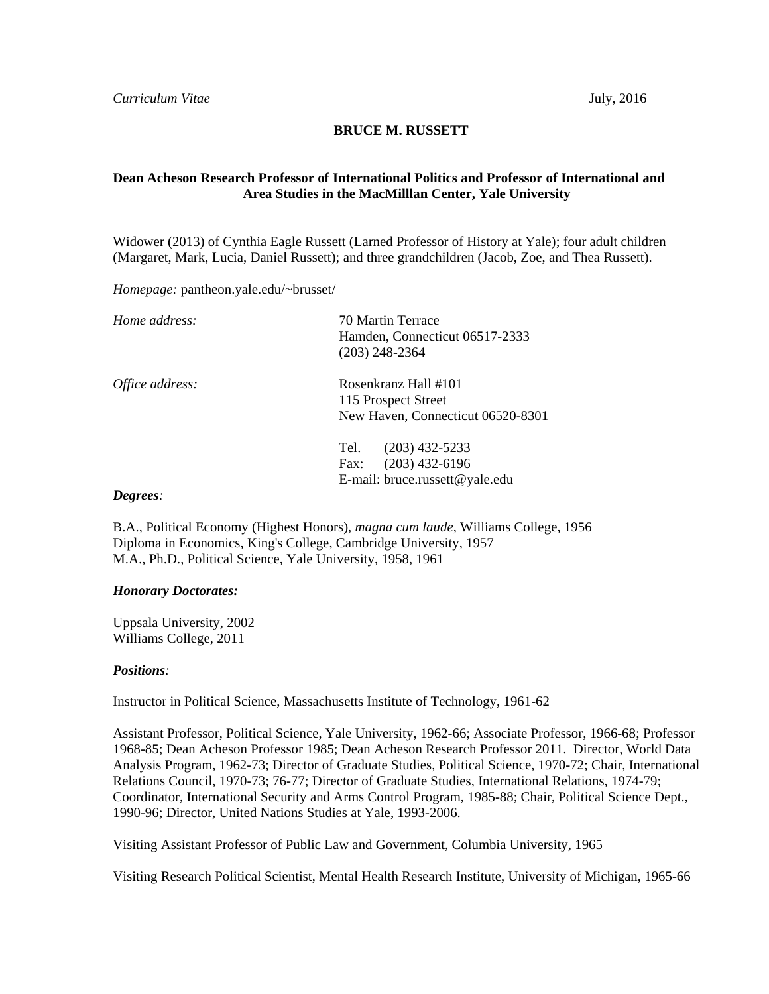## **BRUCE M. RUSSETT**

# **Dean Acheson Research Professor of International Politics and Professor of International and Area Studies in the MacMilllan Center, Yale University**

Widower (2013) of Cynthia Eagle Russett (Larned Professor of History at Yale); four adult children (Margaret, Mark, Lucia, Daniel Russett); and three grandchildren (Jacob, Zoe, and Thea Russett).

*Homepage:* pantheon.yale.edu/~brusset/

| Home address:   | 70 Martin Terrace<br>Hamden, Connecticut 06517-2333<br>$(203)$ 248-2364                |
|-----------------|----------------------------------------------------------------------------------------|
| Office address: | Rosenkranz Hall #101<br>115 Prospect Street<br>New Haven, Connecticut 06520-8301       |
|                 | $(203)$ 432-5233<br>Tel.<br>$(203)$ 432-6196<br>Fax:<br>E-mail: bruce.russett@yale.edu |

#### *Degrees:*

B.A., Political Economy (Highest Honors), *magna cum laude*, Williams College, 1956 Diploma in Economics, King's College, Cambridge University, 1957 M.A., Ph.D., Political Science, Yale University, 1958, 1961

## *Honorary Doctorates:*

Uppsala University, 2002 Williams College, 2011

### *Positions:*

Instructor in Political Science, Massachusetts Institute of Technology, 1961-62

 Coordinator, International Security and Arms Control Program, 1985-88; Chair, Political Science Dept., Assistant Professor, Political Science, Yale University, 1962-66; Associate Professor, 1966-68; Professor 1968-85; Dean Acheson Professor 1985; Dean Acheson Research Professor 2011. Director, World Data Analysis Program, 1962-73; Director of Graduate Studies, Political Science, 1970-72; Chair, International Relations Council, 1970-73; 76-77; Director of Graduate Studies, International Relations, 1974-79; 1990-96; Director, United Nations Studies at Yale, 1993-2006.

Visiting Assistant Professor of Public Law and Government, Columbia University, 1965

Visiting Research Political Scientist, Mental Health Research Institute, University of Michigan, 1965-66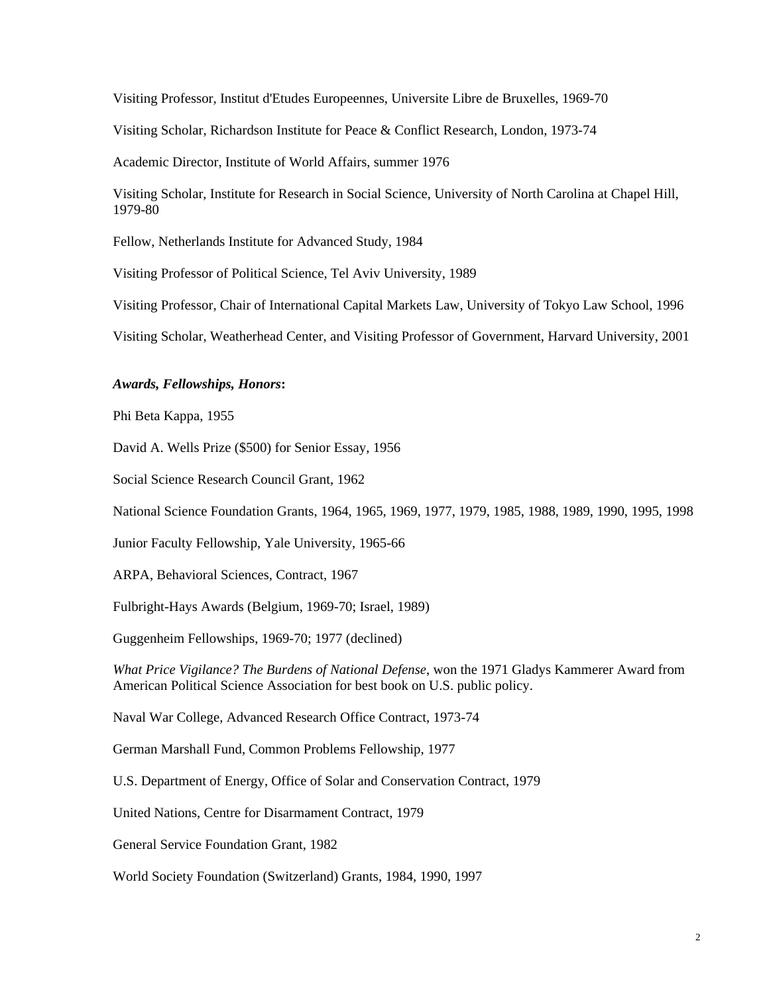Visiting Professor, Institut d'Etudes Europeennes, Universite Libre de Bruxelles, 1969-70

Visiting Scholar, Richardson Institute for Peace & Conflict Research, London, 1973-74

Academic Director, Institute of World Affairs, summer 1976

Visiting Scholar, Institute for Research in Social Science, University of North Carolina at Chapel Hill, 1979-80

Fellow, Netherlands Institute for Advanced Study, 1984

Visiting Professor of Political Science, Tel Aviv University, 1989

Visiting Professor, Chair of International Capital Markets Law, University of Tokyo Law School, 1996

Visiting Scholar, Weatherhead Center, and Visiting Professor of Government, Harvard University, 2001

### *Awards, Fellowships, Honors***:**

Phi Beta Kappa, 1955

David A. Wells Prize (\$500) for Senior Essay, 1956

Social Science Research Council Grant, 1962

National Science Foundation Grants, 1964, 1965, 1969, 1977, 1979, 1985, 1988, 1989, 1990, 1995, 1998

Junior Faculty Fellowship, Yale University, 1965-66

ARPA, Behavioral Sciences, Contract, 1967

Fulbright-Hays Awards (Belgium, 1969-70; Israel, 1989)

Guggenheim Fellowships, 1969-70; 1977 (declined)

*What Price Vigilance? The Burdens of National Defense*, won the 1971 Gladys Kammerer Award from American Political Science Association for best book on U.S. public policy.

Naval War College, Advanced Research Office Contract, 1973-74

German Marshall Fund, Common Problems Fellowship, 1977

U.S. Department of Energy, Office of Solar and Conservation Contract, 1979

United Nations, Centre for Disarmament Contract, 1979

General Service Foundation Grant, 1982

World Society Foundation (Switzerland) Grants, 1984, 1990, 1997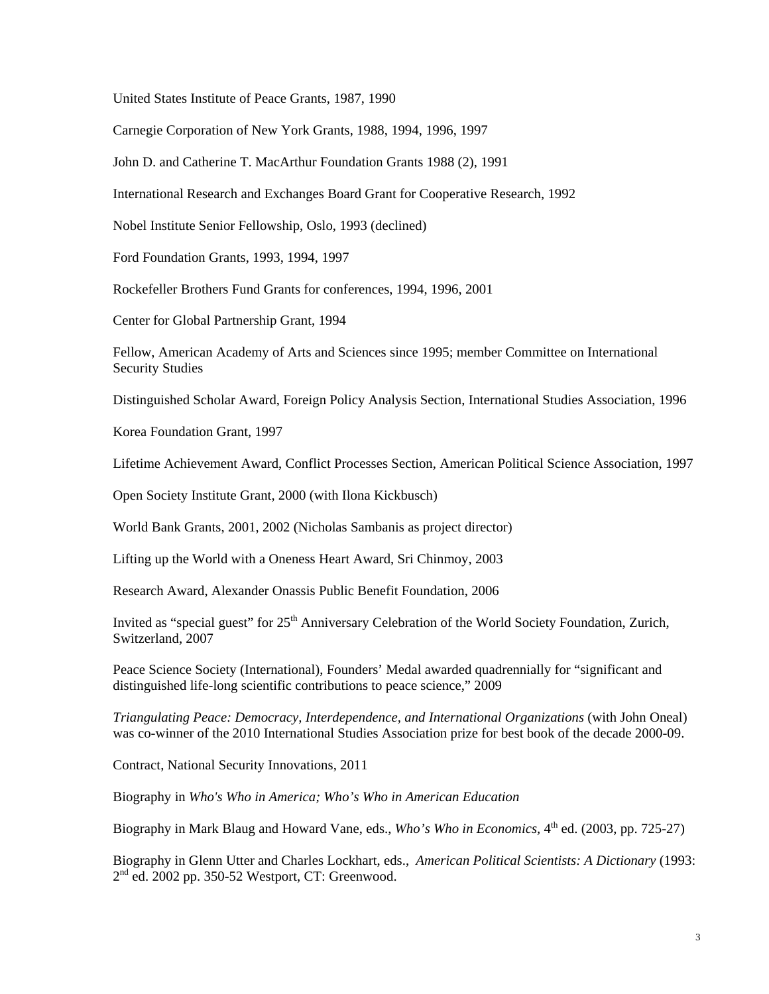United States Institute of Peace Grants, 1987, 1990

Carnegie Corporation of New York Grants, 1988, 1994, 1996, 1997

John D. and Catherine T. MacArthur Foundation Grants 1988 (2), 1991

International Research and Exchanges Board Grant for Cooperative Research, 1992

Nobel Institute Senior Fellowship, Oslo, 1993 (declined)

Ford Foundation Grants, 1993, 1994, 1997

Rockefeller Brothers Fund Grants for conferences, 1994, 1996, 2001

Center for Global Partnership Grant, 1994

Fellow, American Academy of Arts and Sciences since 1995; member Committee on International Security Studies

Distinguished Scholar Award, Foreign Policy Analysis Section, International Studies Association, 1996

Korea Foundation Grant, 1997

Lifetime Achievement Award, Conflict Processes Section, American Political Science Association, 1997

Open Society Institute Grant, 2000 (with Ilona Kickbusch)

World Bank Grants, 2001, 2002 (Nicholas Sambanis as project director)

Lifting up the World with a Oneness Heart Award, Sri Chinmoy, 2003

Research Award, Alexander Onassis Public Benefit Foundation, 2006

Invited as "special guest" for 25<sup>th</sup> Anniversary Celebration of the World Society Foundation, Zurich, Switzerland, 2007

Peace Science Society (International), Founders' Medal awarded quadrennially for "significant and distinguished life-long scientific contributions to peace science," 2009

*Triangulating Peace: Democracy, Interdependence, and International Organizations* (with John Oneal) was co-winner of the 2010 International Studies Association prize for best book of the decade 2000-09.

Contract, National Security Innovations, 2011

Biography in *Who's Who in America; Who's Who in American Education* 

Biography in Mark Blaug and Howard Vane, eds., *Who's Who in Economics*, 4<sup>th</sup> ed. (2003, pp. 725-27)

Biography in Glenn Utter and Charles Lockhart, eds., *American Political Scientists: A Dictionary* (1993: 2nd ed. 2002 pp. 350-52 Westport, CT: Greenwood.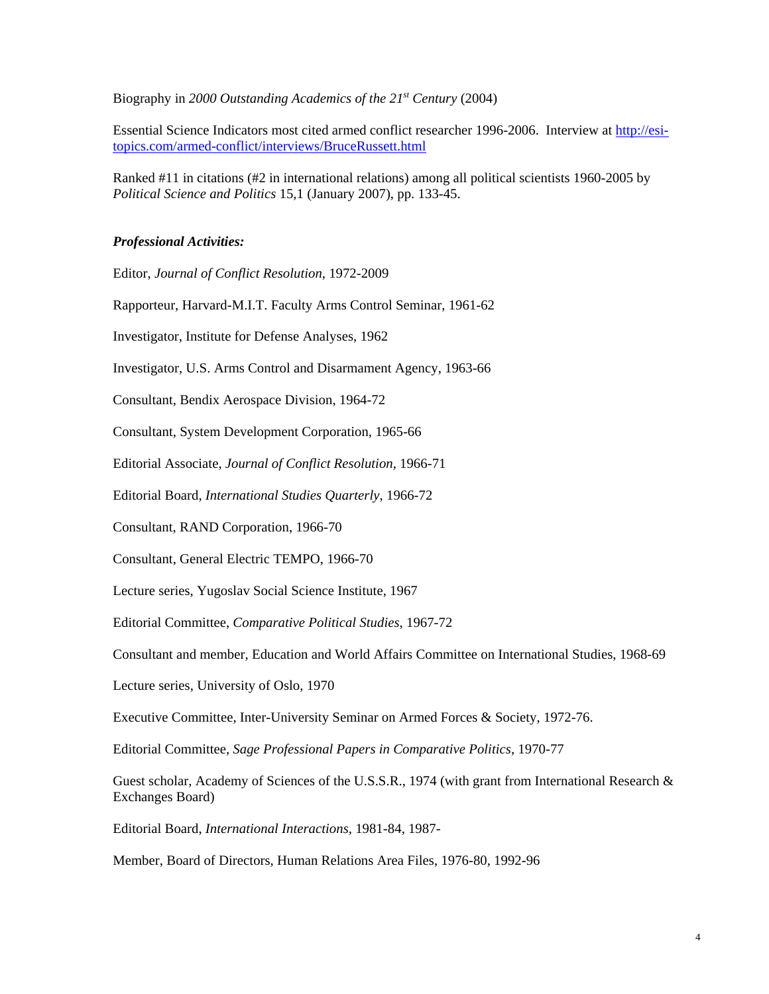Biography in *2000 Outstanding Academics of the 21st Century* (2004)

Essential Science Indicators most cited armed conflict researcher 1996-2006. Interview at http://esitopics.com/armed-conflict/interviews/BruceRussett.html

Ranked #11 in citations (#2 in international relations) among all political scientists 1960-2005 by *Political Science and Politics* 15,1 (January 2007), pp. 133-45.

## *Professional Activities:*

Editor, *Journal of Conflict Resolution*, 1972-2009

Rapporteur, Harvard-M.I.T. Faculty Arms Control Seminar, 1961-62

Investigator, Institute for Defense Analyses, 1962

Investigator, U.S. Arms Control and Disarmament Agency, 1963-66

Consultant, Bendix Aerospace Division, 1964-72

Consultant, System Development Corporation, 1965-66

Editorial Associate, *Journal of Conflict Resolution*, 1966-71

Editorial Board, *International Studies Quarterly*, 1966-72

Consultant, RAND Corporation, 1966-70

Consultant, General Electric TEMPO, 1966-70

Lecture series, Yugoslav Social Science Institute, 1967

Editorial Committee, *Comparative Political Studies*, 1967-72

Consultant and member, Education and World Affairs Committee on International Studies, 1968-69

Lecture series, University of Oslo, 1970

Executive Committee, Inter-University Seminar on Armed Forces & Society, 1972-76.

Editorial Committee, *Sage Professional Papers in Comparative Politics*, 1970-77

Guest scholar, Academy of Sciences of the U.S.S.R., 1974 (with grant from International Research & Exchanges Board)

Editorial Board, *International Interactions*, 1981-84, 1987-

Member, Board of Directors, Human Relations Area Files, 1976-80, 1992-96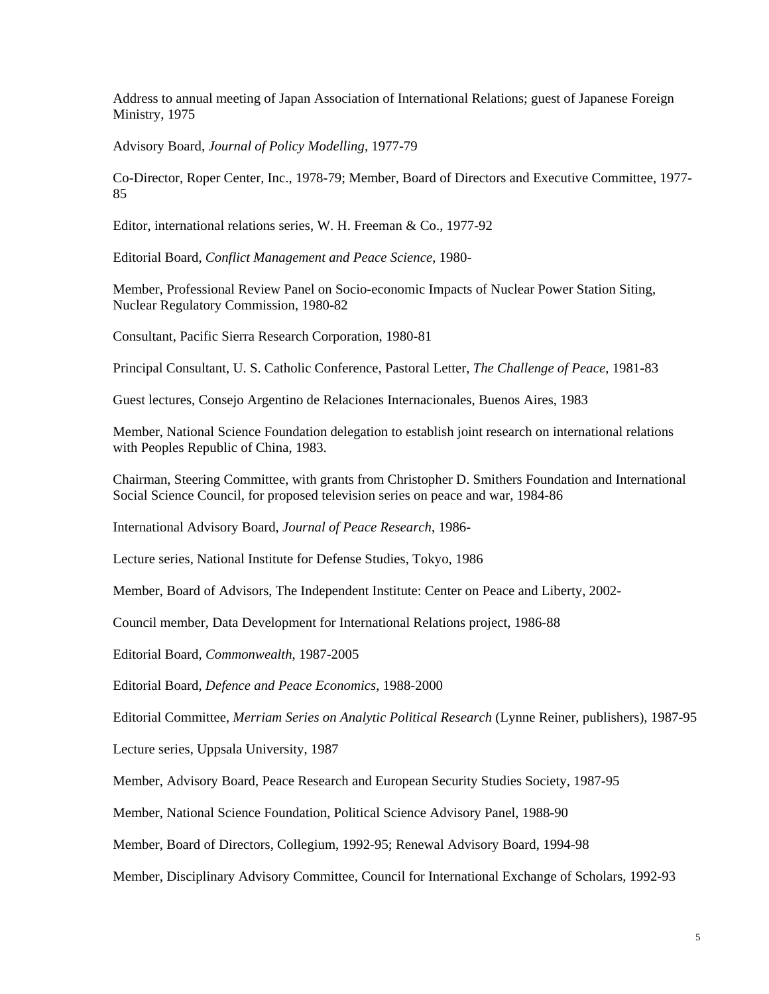Address to annual meeting of Japan Association of International Relations; guest of Japanese Foreign Ministry, 1975

Advisory Board, *Journal of Policy Modelling*, 1977-79

85 Co-Director, Roper Center, Inc., 1978-79; Member, Board of Directors and Executive Committee, 1977-

Editor, international relations series, W. H. Freeman & Co., 1977-92

Editorial Board, *Conflict Management and Peace Science*, 1980-

Member, Professional Review Panel on Socio-economic Impacts of Nuclear Power Station Siting, Nuclear Regulatory Commission, 1980-82

Consultant, Pacific Sierra Research Corporation, 1980-81

Principal Consultant, U. S. Catholic Conference, Pastoral Letter, *The Challenge of Peace*, 1981-83

Guest lectures, Consejo Argentino de Relaciones Internacionales, Buenos Aires, 1983

Member, National Science Foundation delegation to establish joint research on international relations with Peoples Republic of China, 1983.

Chairman, Steering Committee, with grants from Christopher D. Smithers Foundation and International Social Science Council, for proposed television series on peace and war, 1984-86

International Advisory Board, *Journal of Peace Research*, 1986-

Lecture series, National Institute for Defense Studies, Tokyo, 1986

Member, Board of Advisors, The Independent Institute: Center on Peace and Liberty, 2002-

Council member, Data Development for International Relations project, 1986-88

Editorial Board, *Commonwealth*, 1987-2005

Editorial Board, *Defence and Peace Economics*, 1988-2000

Editorial Committee, *Merriam Series on Analytic Political Research* (Lynne Reiner, publishers), 1987-95

Lecture series, Uppsala University, 1987

Member, Advisory Board, Peace Research and European Security Studies Society, 1987-95

Member, National Science Foundation, Political Science Advisory Panel, 1988-90

Member, Board of Directors, Collegium, 1992-95; Renewal Advisory Board, 1994-98

Member, Disciplinary Advisory Committee, Council for International Exchange of Scholars, 1992-93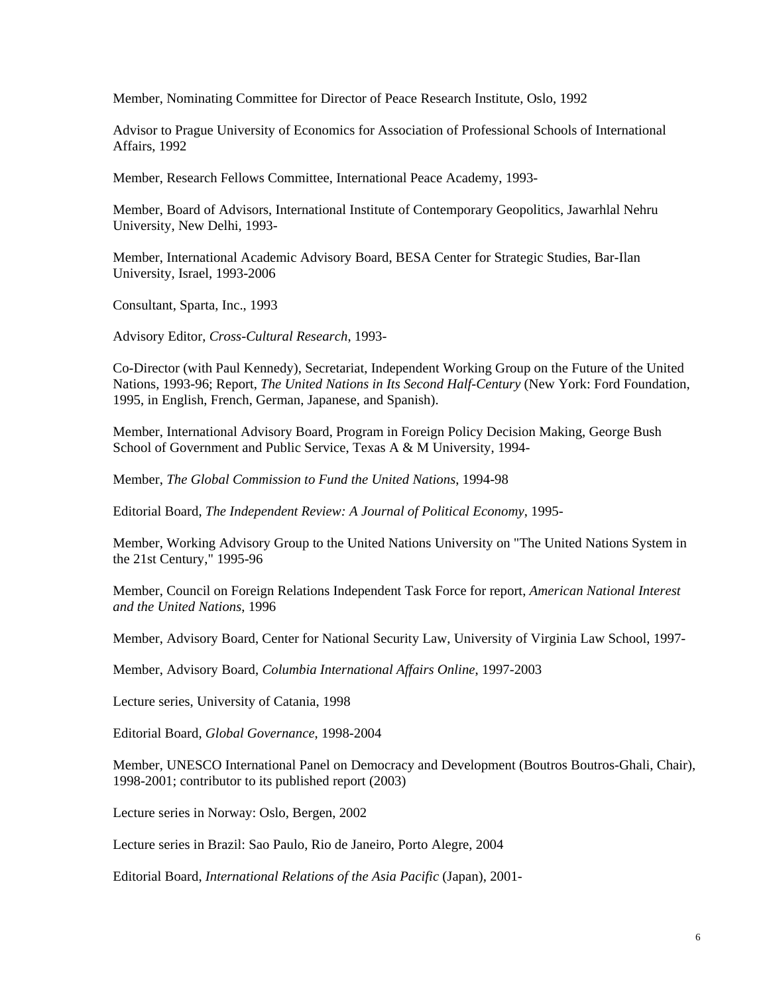Member, Nominating Committee for Director of Peace Research Institute, Oslo, 1992

Advisor to Prague University of Economics for Association of Professional Schools of International Affairs, 1992

Member, Research Fellows Committee, International Peace Academy, 1993-

Member, Board of Advisors, International Institute of Contemporary Geopolitics, Jawarhlal Nehru University, New Delhi, 1993-

Member, International Academic Advisory Board, BESA Center for Strategic Studies, Bar-Ilan University, Israel, 1993-2006

Consultant, Sparta, Inc., 1993

Advisory Editor, *Cross-Cultural Research*, 1993-

Co-Director (with Paul Kennedy), Secretariat, Independent Working Group on the Future of the United Nations, 1993-96; Report, *The United Nations in Its Second Half-Century* (New York: Ford Foundation, 1995, in English, French, German, Japanese, and Spanish).

Member, International Advisory Board, Program in Foreign Policy Decision Making, George Bush School of Government and Public Service, Texas A & M University, 1994-

Member, *The Global Commission to Fund the United Nations*, 1994-98

Editorial Board, *The Independent Review: A Journal of Political Economy*, 1995-

Member, Working Advisory Group to the United Nations University on "The United Nations System in the 21st Century," 1995-96

Member, Council on Foreign Relations Independent Task Force for report, *American National Interest and the United Nations*, 1996

Member, Advisory Board, Center for National Security Law, University of Virginia Law School, 1997-

Member, Advisory Board, *Columbia International Affairs Online*, 1997-2003

Lecture series, University of Catania, 1998

Editorial Board, *Global Governance*, 1998-2004

Member, UNESCO International Panel on Democracy and Development (Boutros Boutros-Ghali, Chair), 1998-2001; contributor to its published report (2003)

Lecture series in Norway: Oslo, Bergen, 2002

Lecture series in Brazil: Sao Paulo, Rio de Janeiro, Porto Alegre, 2004

Editorial Board, *International Relations of the Asia Pacific* (Japan), 2001-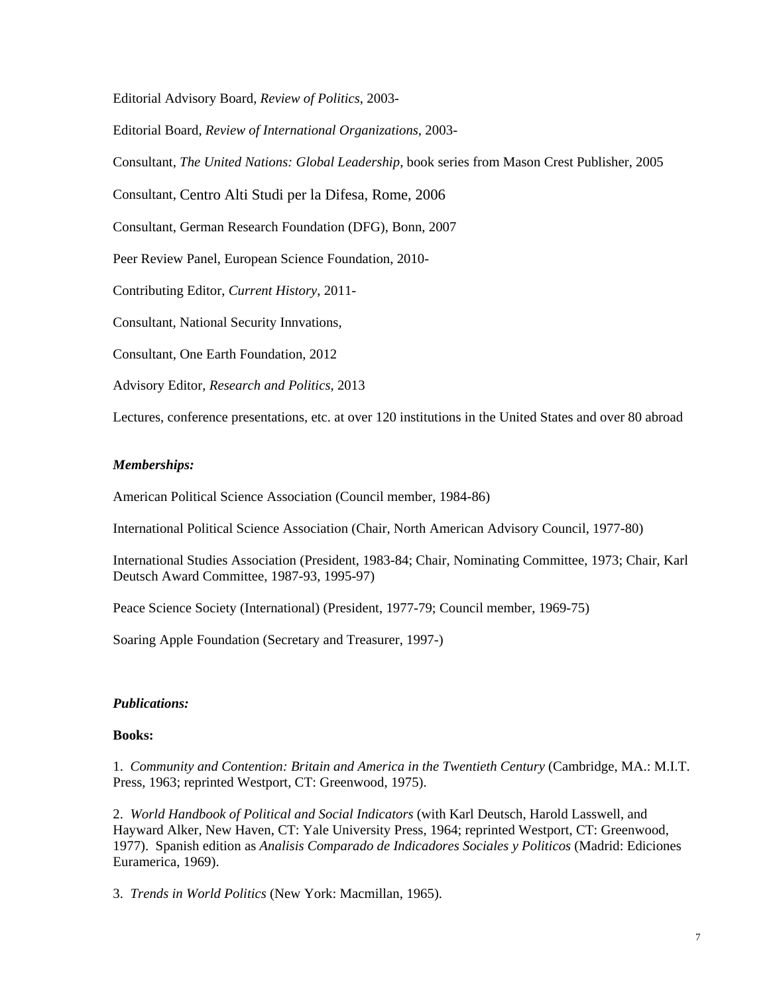Editorial Advisory Board, *Review of Politics*, 2003-

Editorial Board, *Review of International Organizations*, 2003-

Consultant, *The United Nations: Global Leadership*, book series from Mason Crest Publisher, 2005

Consultant, Centro Alti Studi per la Difesa, Rome, 2006

Consultant, German Research Foundation (DFG), Bonn, 2007

Peer Review Panel, European Science Foundation, 2010-

Contributing Editor, *Current History*, 2011-

Consultant, National Security Innvations,

Consultant, One Earth Foundation, 2012

Advisory Editor, *Research and Politics*, 2013

Lectures, conference presentations, etc. at over 120 institutions in the United States and over 80 abroad

## *Memberships:*

American Political Science Association (Council member, 1984-86)

International Political Science Association (Chair, North American Advisory Council, 1977-80)

International Studies Association (President, 1983-84; Chair, Nominating Committee, 1973; Chair, Karl Deutsch Award Committee, 1987-93, 1995-97)

Peace Science Society (International) (President, 1977-79; Council member, 1969-75)

Soaring Apple Foundation (Secretary and Treasurer, 1997-)

## *Publications:*

## **Books:**

1. *Community and Contention: Britain and America in the Twentieth Century* (Cambridge, MA.: M.I.T. Press, 1963; reprinted Westport, CT: Greenwood, 1975).

2. *World Handbook of Political and Social Indicators* (with Karl Deutsch, Harold Lasswell, and Hayward Alker, New Haven, CT: Yale University Press, 1964; reprinted Westport, CT: Greenwood, Euramerica, 1969). 1977). Spanish edition as *Analisis Comparado de Indicadores Sociales y Politicos* (Madrid: Ediciones

3. *Trends in World Politics* (New York: Macmillan, 1965).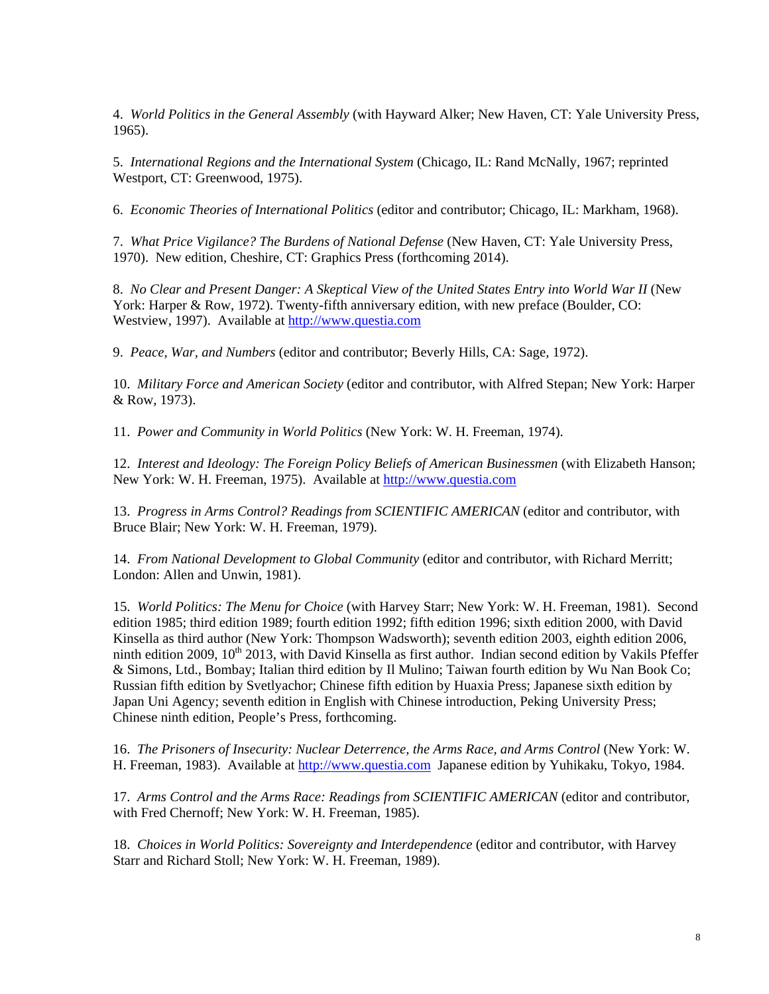4. *World Politics in the General Assembly* (with Hayward Alker; New Haven, CT: Yale University Press, 1965).

5. *International Regions and the International System* (Chicago, IL: Rand McNally, 1967; reprinted Westport, CT: Greenwood, 1975).

6. *Economic Theories of International Politics* (editor and contributor; Chicago, IL: Markham, 1968).

7. *What Price Vigilance? The Burdens of National Defense* (New Haven, CT: Yale University Press, 1970). New edition, Cheshire, CT: Graphics Press (forthcoming 2014).

8. *No Clear and Present Danger: A Skeptical View of the United States Entry into World War II* (New York: Harper & Row, 1972). Twenty-fifth anniversary edition, with new preface (Boulder, CO: Westview, 1997). Available at http://www.questia.com

9. *Peace, War, and Numbers* (editor and contributor; Beverly Hills, CA: Sage, 1972).

10. *Military Force and American Society* (editor and contributor, with Alfred Stepan; New York: Harper & Row, 1973).

11. *Power and Community in World Politics* (New York: W. H. Freeman, 1974).

12. *Interest and Ideology: The Foreign Policy Beliefs of American Businessmen* (with Elizabeth Hanson; New York: W. H. Freeman, 1975). Available at http://www.questia.com

13. *Progress in Arms Control? Readings from SCIENTIFIC AMERICAN* (editor and contributor, with Bruce Blair; New York: W. H. Freeman, 1979).

14. *From National Development to Global Community* (editor and contributor, with Richard Merritt; London: Allen and Unwin, 1981).

15. *World Politics: The Menu for Choice* (with Harvey Starr; New York: W. H. Freeman, 1981). Second edition 1985; third edition 1989; fourth edition 1992; fifth edition 1996; sixth edition 2000, with David Kinsella as third author (New York: Thompson Wadsworth); seventh edition 2003, eighth edition 2006, ninth edition 2009,  $10^{th}$  2013, with David Kinsella as first author. Indian second edition by Vakils Pfeffer & Simons, Ltd., Bombay; Italian third edition by Il Mulino; Taiwan fourth edition by Wu Nan Book Co; Russian fifth edition by Svetlyachor; Chinese fifth edition by Huaxia Press; Japanese sixth edition by Japan Uni Agency; seventh edition in English with Chinese introduction, Peking University Press; Chinese ninth edition, People's Press, forthcoming.

16. *The Prisoners of Insecurity: Nuclear Deterrence, the Arms Race, and Arms Control* (New York: W. H. Freeman, 1983). Available at http://www.questia.com Japanese edition by Yuhikaku, Tokyo, 1984.

17. *Arms Control and the Arms Race: Readings from SCIENTIFIC AMERICAN* (editor and contributor, with Fred Chernoff; New York: W. H. Freeman, 1985).

18. *Choices in World Politics: Sovereignty and Interdependence* (editor and contributor, with Harvey Starr and Richard Stoll; New York: W. H. Freeman, 1989).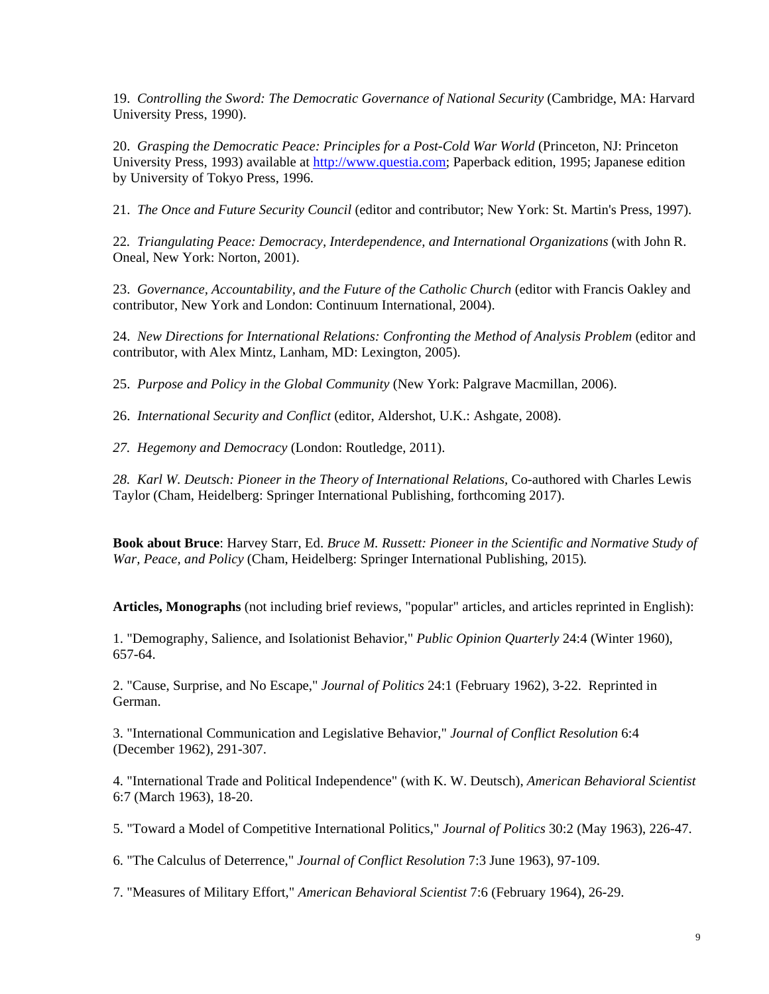19. *Controlling the Sword: The Democratic Governance of National Security* (Cambridge, MA: Harvard University Press, 1990).

20. *Grasping the Democratic Peace: Principles for a Post-Cold War World* (Princeton, NJ: Princeton University Press, 1993) available at http://www.questia.com; Paperback edition, 1995; Japanese edition by University of Tokyo Press, 1996.

21. *The Once and Future Security Council* (editor and contributor; New York: St. Martin's Press, 1997).

22*. Triangulating Peace: Democracy, Interdependence, and International Organizations* (with John R. Oneal, New York: Norton, 2001).

23. *Governance, Accountability, and the Future of the Catholic Church* (editor with Francis Oakley and contributor, New York and London: Continuum International, 2004).

24. *New Directions for International Relations: Confronting the Method of Analysis Problem (editor and* contributor, with Alex Mintz, Lanham, MD: Lexington, 2005).

25. *Purpose and Policy in the Global Community* (New York: Palgrave Macmillan, 2006).

26. *International Security and Conflict* (editor, Aldershot, U.K.: Ashgate, 2008).

*27. Hegemony and Democracy* (London: Routledge, 2011).

*28. Karl W. Deutsch: Pioneer in the Theory of International Relations,* Co-authored with Charles Lewis Taylor (Cham, Heidelberg: Springer International Publishing, forthcoming 2017).

**Book about Bruce**: Harvey Starr, Ed. *Bruce M. Russett: Pioneer in the Scientific and Normative Study of War, Peace, and Policy* (Cham, Heidelberg: Springer International Publishing, 2015)*.* 

 **Articles, Monographs** (not including brief reviews, "popular" articles, and articles reprinted in English): 1. "Demography, Salience, and Isolationist Behavior," *Public Opinion Quarterly* 24:4 (Winter 1960), 657-64.

2. "Cause, Surprise, and No Escape," *Journal of Politics* 24:1 (February 1962), 3-22. Reprinted in German.

3. "International Communication and Legislative Behavior," *Journal of Conflict Resolution* 6:4 (December 1962), 291-307.

4. "International Trade and Political Independence" (with K. W. Deutsch), *American Behavioral Scientist*  6:7 (March 1963), 18-20.

5. "Toward a Model of Competitive International Politics," *Journal of Politics* 30:2 (May 1963), 226-47.

6. "The Calculus of Deterrence," *Journal of Conflict Resolution* 7:3 June 1963), 97-109.

7. "Measures of Military Effort," *American Behavioral Scientist* 7:6 (February 1964), 26-29.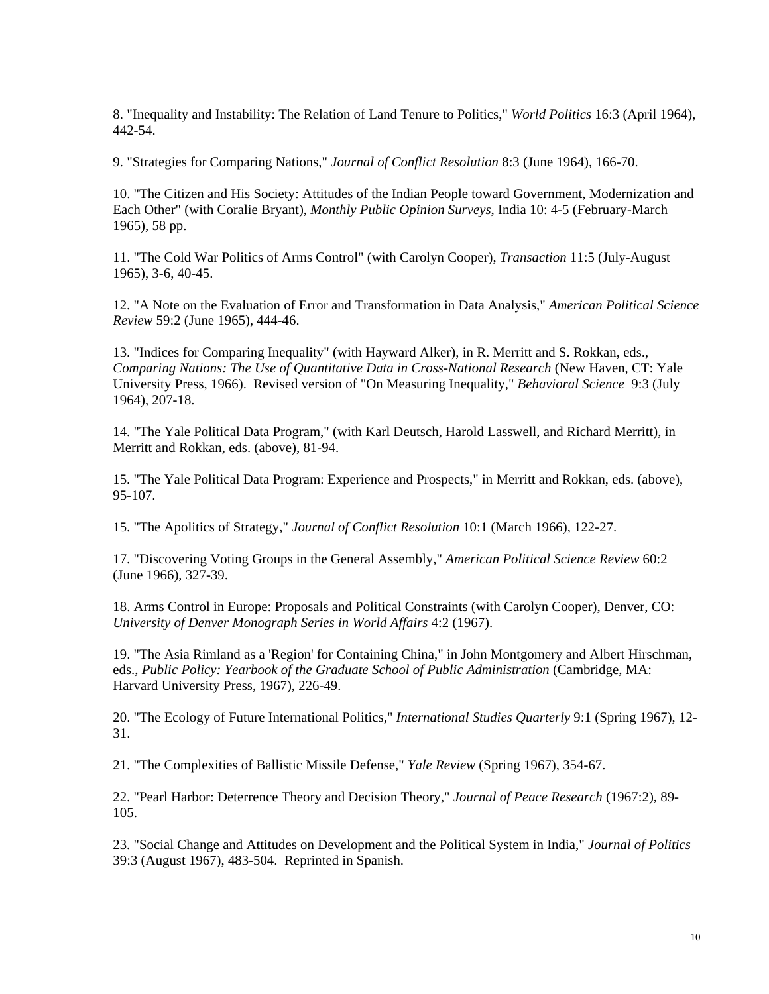8. "Inequality and Instability: The Relation of Land Tenure to Politics," *World Politics* 16:3 (April 1964), 442-54.

9. "Strategies for Comparing Nations," *Journal of Conflict Resolution* 8:3 (June 1964), 166-70.

10. "The Citizen and His Society: Attitudes of the Indian People toward Government, Modernization and Each Other" (with Coralie Bryant), *Monthly Public Opinion Surveys*, India 10: 4-5 (February-March 1965), 58 pp.

11. "The Cold War Politics of Arms Control" (with Carolyn Cooper), *Transaction* 11:5 (July-August 1965), 3-6, 40-45.

12. "A Note on the Evaluation of Error and Transformation in Data Analysis," *American Political Science Review* 59:2 (June 1965), 444-46.

13. "Indices for Comparing Inequality" (with Hayward Alker), in R. Merritt and S. Rokkan, eds., *Comparing Nations: The Use of Quantitative Data in Cross-National Research* (New Haven, CT: Yale University Press, 1966). Revised version of "On Measuring Inequality," *Behavioral Science* 9:3 (July 1964), 207-18.

14. "The Yale Political Data Program," (with Karl Deutsch, Harold Lasswell, and Richard Merritt), in Merritt and Rokkan, eds. (above), 81-94.

15. "The Yale Political Data Program: Experience and Prospects," in Merritt and Rokkan, eds. (above), 95-107.

15. "The Apolitics of Strategy," *Journal of Conflict Resolution* 10:1 (March 1966), 122-27.

17. "Discovering Voting Groups in the General Assembly," *American Political Science Review* 60:2 (June 1966), 327-39.

18. Arms Control in Europe: Proposals and Political Constraints (with Carolyn Cooper), Denver, CO: *University of Denver Monograph Series in World Affairs* 4:2 (1967).

19. "The Asia Rimland as a 'Region' for Containing China," in John Montgomery and Albert Hirschman, eds., *Public Policy: Yearbook of the Graduate School of Public Administration* (Cambridge, MA: Harvard University Press, 1967), 226-49.

20. "The Ecology of Future International Politics," *International Studies Quarterly* 9:1 (Spring 1967), 12- 31.

21. "The Complexities of Ballistic Missile Defense," *Yale Review* (Spring 1967), 354-67.

22. "Pearl Harbor: Deterrence Theory and Decision Theory," *Journal of Peace Research* (1967:2), 89- 105.

23. "Social Change and Attitudes on Development and the Political System in India," *Journal of Politics*  39:3 (August 1967), 483-504. Reprinted in Spanish.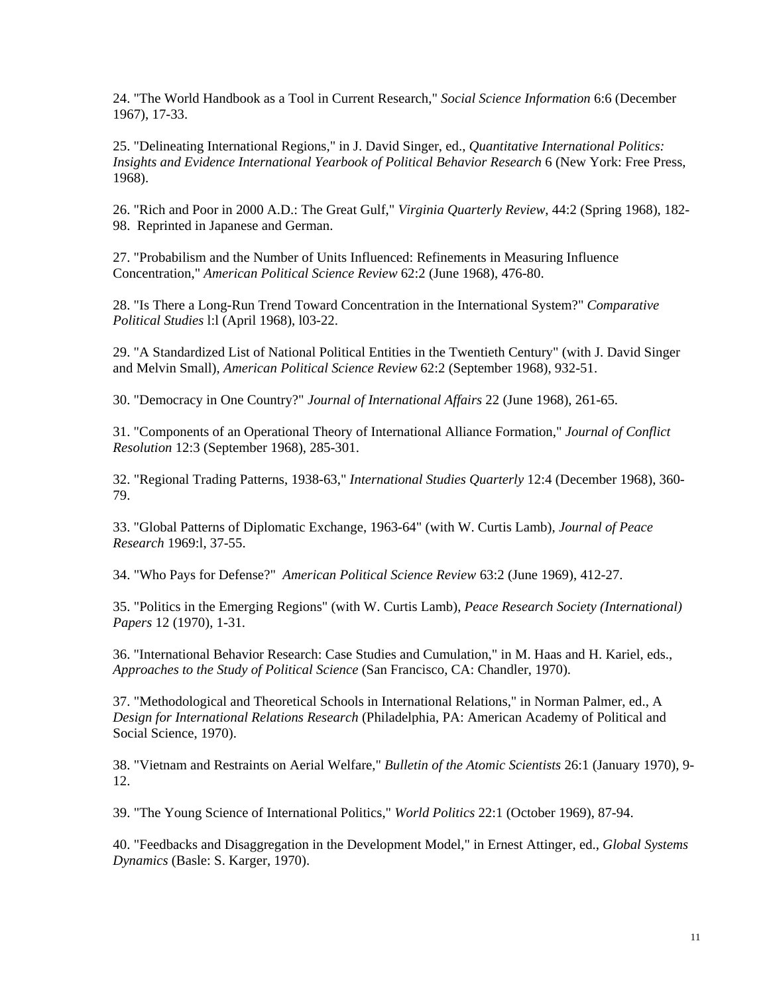24. "The World Handbook as a Tool in Current Research," *Social Science Information* 6:6 (December 1967), 17-33.

25. "Delineating International Regions," in J. David Singer, ed., *Quantitative International Politics: Insights and Evidence International Yearbook of Political Behavior Research* 6 (New York: Free Press, 1968).

26. "Rich and Poor in 2000 A.D.: The Great Gulf," *Virginia Quarterly Review*, 44:2 (Spring 1968), 182- 98. Reprinted in Japanese and German.

27. "Probabilism and the Number of Units Influenced: Refinements in Measuring Influence Concentration," *American Political Science Review* 62:2 (June 1968), 476-80.

28. "Is There a Long-Run Trend Toward Concentration in the International System?" *Comparative Political Studies* l:l (April 1968), l03-22.

29. "A Standardized List of National Political Entities in the Twentieth Century" (with J. David Singer and Melvin Small), *American Political Science Review* 62:2 (September 1968), 932-51.

30. "Democracy in One Country?" *Journal of International Affairs* 22 (June 1968), 261-65.

31. "Components of an Operational Theory of International Alliance Formation," *Journal of Conflict Resolution* 12:3 (September 1968), 285-301.

32. "Regional Trading Patterns, 1938-63," *International Studies Quarterly* 12:4 (December 1968), 360- 79.

33. "Global Patterns of Diplomatic Exchange, 1963-64" (with W. Curtis Lamb), *Journal of Peace Research* 1969:l, 37-55.

34. "Who Pays for Defense?" *American Political Science Review* 63:2 (June 1969), 412-27.

35. "Politics in the Emerging Regions" (with W. Curtis Lamb), *Peace Research Society (International) Papers* 12 (1970), 1-31.

36. "International Behavior Research: Case Studies and Cumulation," in M. Haas and H. Kariel, eds., *Approaches to the Study of Political Science* (San Francisco, CA: Chandler, 1970).

37. "Methodological and Theoretical Schools in International Relations," in Norman Palmer, ed., A *Design for International Relations Research* (Philadelphia, PA: American Academy of Political and Social Science, 1970).

38. "Vietnam and Restraints on Aerial Welfare," *Bulletin of the Atomic Scientists* 26:1 (January 1970), 9- 12.

39. "The Young Science of International Politics," *World Politics* 22:1 (October 1969), 87-94.

40. "Feedbacks and Disaggregation in the Development Model," in Ernest Attinger, ed., *Global Systems Dynamics* (Basle: S. Karger, 1970).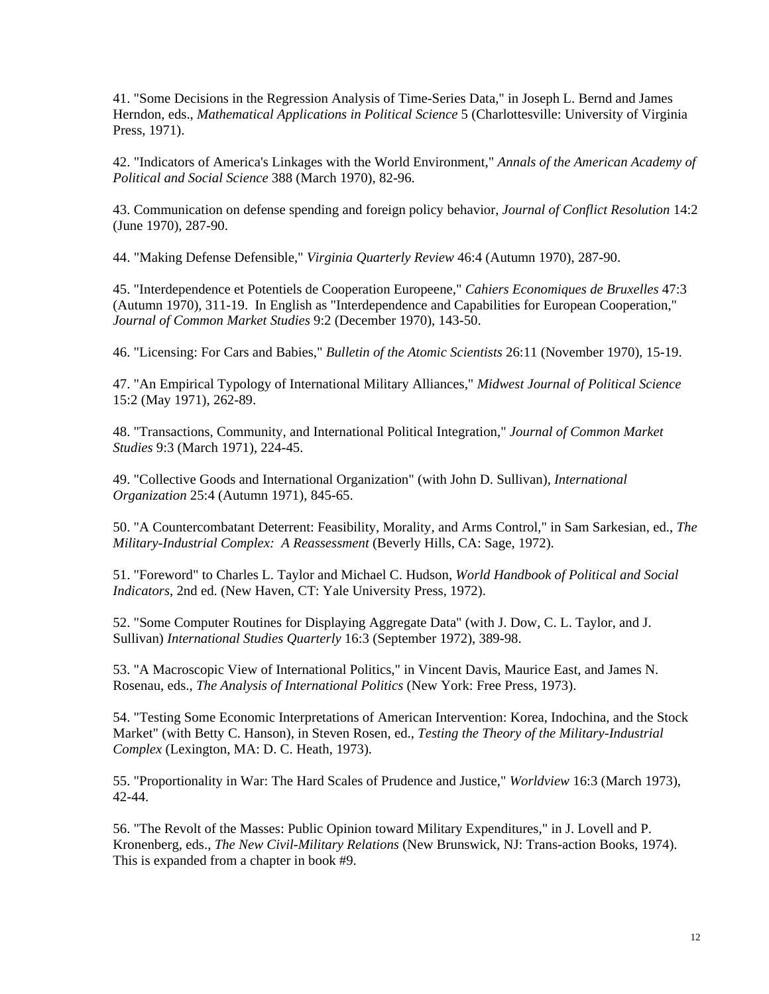41. "Some Decisions in the Regression Analysis of Time-Series Data," in Joseph L. Bernd and James Herndon, eds., *Mathematical Applications in Political Science* 5 (Charlottesville: University of Virginia Press, 1971).

42. "Indicators of America's Linkages with the World Environment," *Annals of the American Academy of Political and Social Science* 388 (March 1970), 82-96.

43. Communication on defense spending and foreign policy behavior, *Journal of Conflict Resolution* 14:2 (June 1970), 287-90.

44. "Making Defense Defensible," *Virginia Quarterly Review* 46:4 (Autumn 1970), 287-90.

45. "Interdependence et Potentiels de Cooperation Europeene," *Cahiers Economiques de Bruxelles* 47:3 (Autumn 1970), 311-19. In English as "Interdependence and Capabilities for European Cooperation," *Journal of Common Market Studies* 9:2 (December 1970), 143-50.

46. "Licensing: For Cars and Babies," *Bulletin of the Atomic Scientists* 26:11 (November 1970), 15-19.

47. "An Empirical Typology of International Military Alliances," *Midwest Journal of Political Science*  15:2 (May 1971), 262-89.

48. "Transactions, Community, and International Political Integration," *Journal of Common Market Studies* 9:3 (March 1971), 224-45.

49. "Collective Goods and International Organization" (with John D. Sullivan), *International Organization* 25:4 (Autumn 1971), 845-65.

50. "A Countercombatant Deterrent: Feasibility, Morality, and Arms Control," in Sam Sarkesian, ed., *The Military-Industrial Complex: A Reassessment* (Beverly Hills, CA: Sage, 1972).

51. "Foreword" to Charles L. Taylor and Michael C. Hudson, *World Handbook of Political and Social Indicators*, 2nd ed. (New Haven, CT: Yale University Press, 1972).

52. "Some Computer Routines for Displaying Aggregate Data" (with J. Dow, C. L. Taylor, and J. Sullivan) *International Studies Quarterly* 16:3 (September 1972), 389-98.

53. "A Macroscopic View of International Politics," in Vincent Davis, Maurice East, and James N. Rosenau, eds., *The Analysis of International Politics* (New York: Free Press, 1973).

54. "Testing Some Economic Interpretations of American Intervention: Korea, Indochina, and the Stock Market" (with Betty C. Hanson), in Steven Rosen, ed., *Testing the Theory of the Military-Industrial Complex* (Lexington, MA: D. C. Heath, 1973).

55. "Proportionality in War: The Hard Scales of Prudence and Justice," *Worldview* 16:3 (March 1973), 42-44.

56. "The Revolt of the Masses: Public Opinion toward Military Expenditures," in J. Lovell and P. Kronenberg, eds., *The New Civil-Military Relations* (New Brunswick, NJ: Trans-action Books, 1974). This is expanded from a chapter in book #9.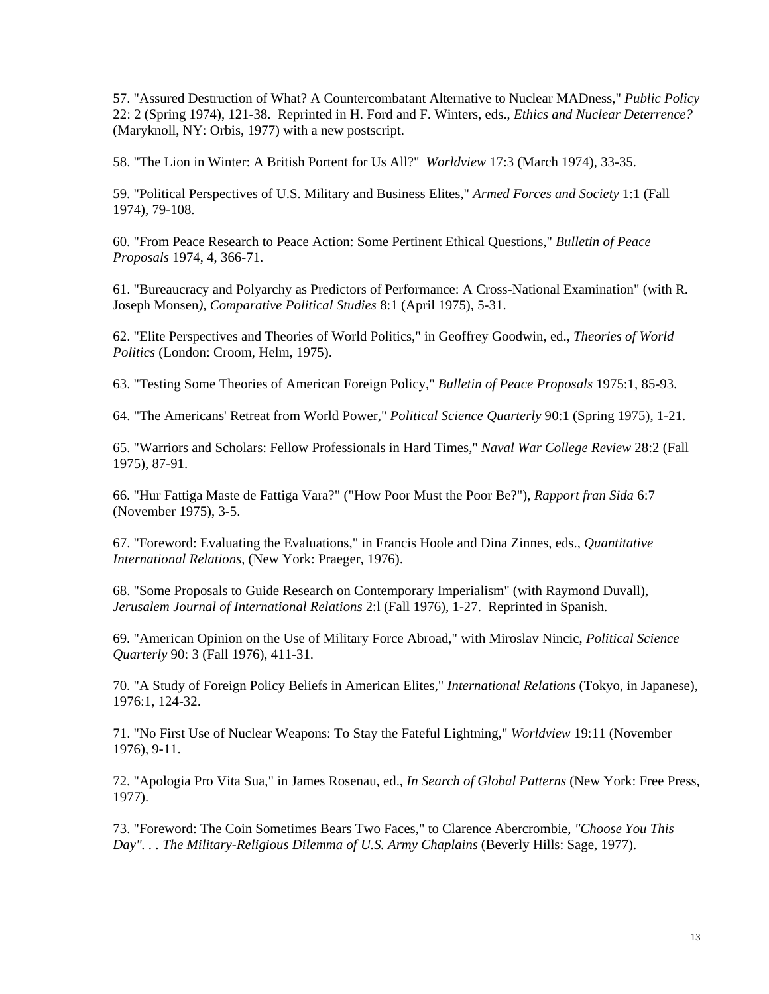57. "Assured Destruction of What? A Countercombatant Alternative to Nuclear MADness," *Public Policy*  22: 2 (Spring 1974), 121-38. Reprinted in H. Ford and F. Winters, eds., *Ethics and Nuclear Deterrence?*  (Maryknoll, NY: Orbis, 1977) with a new postscript.

58. "The Lion in Winter: A British Portent for Us All?" *Worldview* 17:3 (March 1974), 33-35.

59. "Political Perspectives of U.S. Military and Business Elites," *Armed Forces and Society* 1:1 (Fall 1974), 79-108.

60. "From Peace Research to Peace Action: Some Pertinent Ethical Questions," *Bulletin of Peace Proposals* 1974, 4, 366-71.

61. "Bureaucracy and Polyarchy as Predictors of Performance: A Cross-National Examination" (with R. Joseph Monsen*), Comparative Political Studies* 8:1 (April 1975), 5-31.

62. "Elite Perspectives and Theories of World Politics," in Geoffrey Goodwin, ed., *Theories of World Politics* (London: Croom, Helm, 1975).

63. "Testing Some Theories of American Foreign Policy," *Bulletin of Peace Proposals* 1975:1, 85-93.

64. "The Americans' Retreat from World Power," *Political Science Quarterly* 90:1 (Spring 1975), 1-21.

65. "Warriors and Scholars: Fellow Professionals in Hard Times," *Naval War College Review* 28:2 (Fall 1975), 87-91.

66. "Hur Fattiga Maste de Fattiga Vara?" ("How Poor Must the Poor Be?"), *Rapport fran Sida* 6:7 (November 1975), 3-5.

67. "Foreword: Evaluating the Evaluations," in Francis Hoole and Dina Zinnes, eds., *Quantitative International Relations*, (New York: Praeger, 1976).

68. "Some Proposals to Guide Research on Contemporary Imperialism" (with Raymond Duvall), *Jerusalem Journal of International Relations* 2:l (Fall 1976), 1-27. Reprinted in Spanish.

69. "American Opinion on the Use of Military Force Abroad," with Miroslav Nincic, *Political Science Quarterly* 90: 3 (Fall 1976), 411-31.

70. "A Study of Foreign Policy Beliefs in American Elites," *International Relations* (Tokyo, in Japanese), 1976:1, 124-32.

71. "No First Use of Nuclear Weapons: To Stay the Fateful Lightning," *Worldview* 19:11 (November 1976), 9-11.

72. "Apologia Pro Vita Sua," in James Rosenau, ed., *In Search of Global Patterns* (New York: Free Press, 1977).

73. "Foreword: The Coin Sometimes Bears Two Faces," to Clarence Abercrombie, *"Choose You This*  Day". . . The Military-Religious Dilemma of U.S. Army Chaplains (Beverly Hills: Sage, 1977).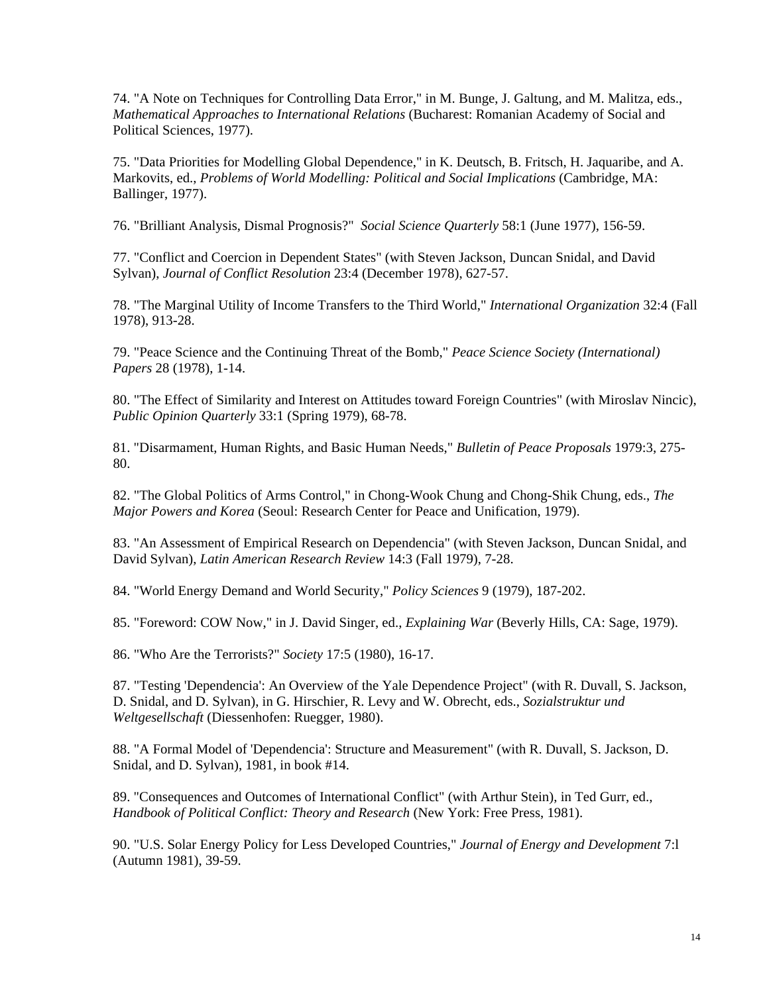74. "A Note on Techniques for Controlling Data Error," in M. Bunge, J. Galtung, and M. Malitza, eds., *Mathematical Approaches to International Relations* (Bucharest: Romanian Academy of Social and Political Sciences, 1977).

75. "Data Priorities for Modelling Global Dependence," in K. Deutsch, B. Fritsch, H. Jaquaribe, and A. Markovits, ed., *Problems of World Modelling: Political and Social Implications* (Cambridge, MA: Ballinger, 1977).

76. "Brilliant Analysis, Dismal Prognosis?" *Social Science Quarterly* 58:1 (June 1977), 156-59.

77. "Conflict and Coercion in Dependent States" (with Steven Jackson, Duncan Snidal, and David Sylvan), *Journal of Conflict Resolution* 23:4 (December 1978), 627-57.

78. "The Marginal Utility of Income Transfers to the Third World," *International Organization* 32:4 (Fall 1978), 913-28.

79. "Peace Science and the Continuing Threat of the Bomb," *Peace Science Society (International) Papers* 28 (1978), 1-14.

80. "The Effect of Similarity and Interest on Attitudes toward Foreign Countries" (with Miroslav Nincic), *Public Opinion Quarterly* 33:1 (Spring 1979), 68-78.

81. "Disarmament, Human Rights, and Basic Human Needs," *Bulletin of Peace Proposals* 1979:3, 275- 80.

82. "The Global Politics of Arms Control," in Chong-Wook Chung and Chong-Shik Chung, eds., *The Major Powers and Korea* (Seoul: Research Center for Peace and Unification, 1979).

83. "An Assessment of Empirical Research on Dependencia" (with Steven Jackson, Duncan Snidal, and David Sylvan), *Latin American Research Review* 14:3 (Fall 1979), 7-28.

84. "World Energy Demand and World Security," *Policy Sciences* 9 (1979), 187-202.

85. "Foreword: COW Now," in J. David Singer, ed., *Explaining War* (Beverly Hills, CA: Sage, 1979).

86. "Who Are the Terrorists?" *Society* 17:5 (1980), 16-17.

87. "Testing 'Dependencia': An Overview of the Yale Dependence Project" (with R. Duvall, S. Jackson, D. Snidal, and D. Sylvan), in G. Hirschier, R. Levy and W. Obrecht, eds., *Sozialstruktur und Weltgesellschaft* (Diessenhofen: Ruegger, 1980).

88. "A Formal Model of 'Dependencia': Structure and Measurement" (with R. Duvall, S. Jackson, D. Snidal, and D. Sylvan), 1981, in book #14.

89. "Consequences and Outcomes of International Conflict" (with Arthur Stein), in Ted Gurr, ed., *Handbook of Political Conflict: Theory and Research* (New York: Free Press, 1981).

90. "U.S. Solar Energy Policy for Less Developed Countries," *Journal of Energy and Development* 7:l (Autumn 1981), 39-59.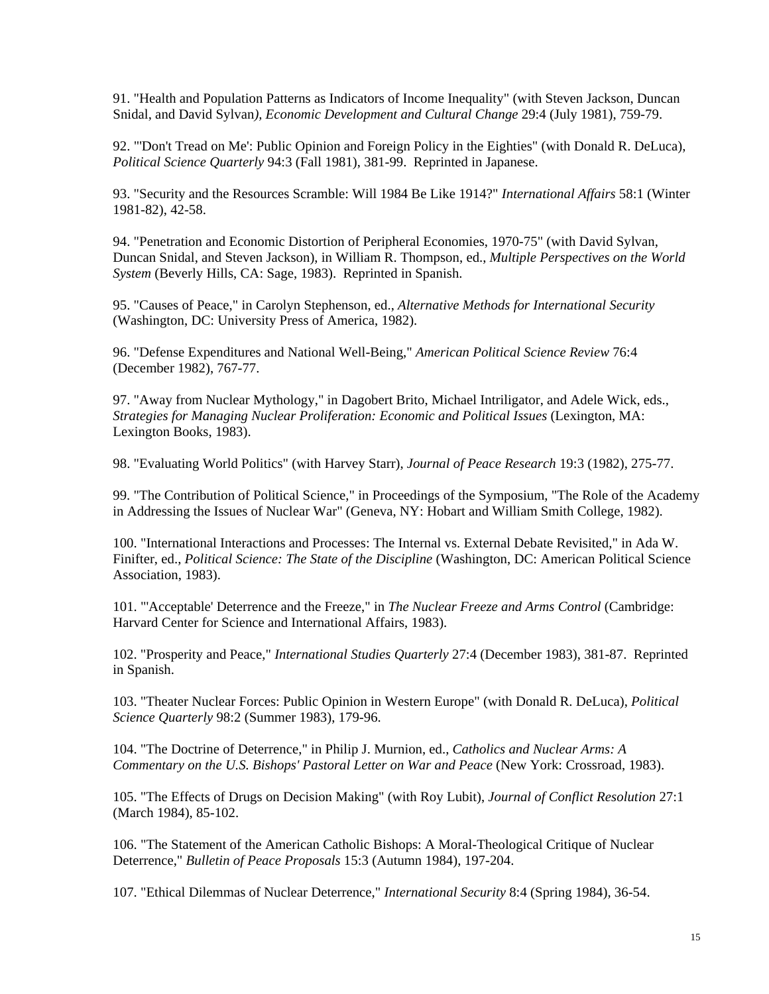91. "Health and Population Patterns as Indicators of Income Inequality" (with Steven Jackson, Duncan Snidal, and David Sylvan*), Economic Development and Cultural Change* 29:4 (July 1981), 759-79.

92. "'Don't Tread on Me': Public Opinion and Foreign Policy in the Eighties" (with Donald R. DeLuca), *Political Science Quarterly* 94:3 (Fall 1981), 381-99. Reprinted in Japanese.

93. "Security and the Resources Scramble: Will 1984 Be Like 1914?" *International Affairs* 58:1 (Winter 1981-82), 42-58.

94. "Penetration and Economic Distortion of Peripheral Economies, 1970-75" (with David Sylvan, Duncan Snidal, and Steven Jackson), in William R. Thompson, ed., *Multiple Perspectives on the World System* (Beverly Hills, CA: Sage, 1983). Reprinted in Spanish.

95. "Causes of Peace," in Carolyn Stephenson, ed., *Alternative Methods for International Security*  (Washington, DC: University Press of America, 1982).

96. "Defense Expenditures and National Well-Being," *American Political Science Review* 76:4 (December 1982), 767-77.

97. "Away from Nuclear Mythology," in Dagobert Brito, Michael Intriligator, and Adele Wick, eds., *Strategies for Managing Nuclear Proliferation: Economic and Political Issues* (Lexington, MA: Lexington Books, 1983).

98. "Evaluating World Politics" (with Harvey Starr), *Journal of Peace Research* 19:3 (1982), 275-77.

99. "The Contribution of Political Science," in Proceedings of the Symposium, "The Role of the Academy in Addressing the Issues of Nuclear War" (Geneva, NY: Hobart and William Smith College, 1982).

100. "International Interactions and Processes: The Internal vs. External Debate Revisited," in Ada W. Finifter, ed., *Political Science: The State of the Discipline* (Washington, DC: American Political Science Association, 1983).

101. "'Acceptable' Deterrence and the Freeze," in *The Nuclear Freeze and Arms Control* (Cambridge: Harvard Center for Science and International Affairs, 1983).

102. "Prosperity and Peace," *International Studies Quarterly* 27:4 (December 1983), 381-87. Reprinted in Spanish.

103. "Theater Nuclear Forces: Public Opinion in Western Europe" (with Donald R. DeLuca), *Political Science Quarterly* 98:2 (Summer 1983), 179-96.

104. "The Doctrine of Deterrence," in Philip J. Murnion, ed., *Catholics and Nuclear Arms: A Commentary on the U.S. Bishops' Pastoral Letter on War and Peace* (New York: Crossroad, 1983).

105. "The Effects of Drugs on Decision Making" (with Roy Lubit), *Journal of Conflict Resolution* 27:1 (March 1984), 85-102.

106. "The Statement of the American Catholic Bishops: A Moral-Theological Critique of Nuclear Deterrence," *Bulletin of Peace Proposals* 15:3 (Autumn 1984), 197-204.

107. "Ethical Dilemmas of Nuclear Deterrence," *International Security* 8:4 (Spring 1984), 36-54.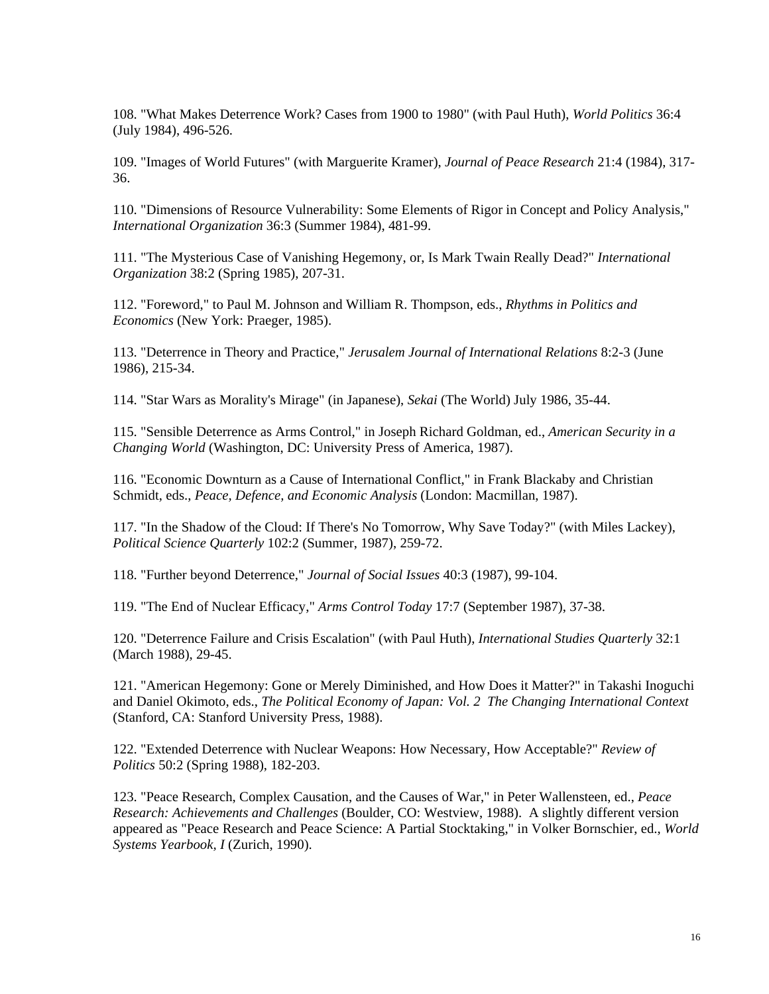108. "What Makes Deterrence Work? Cases from 1900 to 1980" (with Paul Huth), *World Politics* 36:4 (July 1984), 496-526.

109. "Images of World Futures" (with Marguerite Kramer), *Journal of Peace Research* 21:4 (1984), 317- 36.

110. "Dimensions of Resource Vulnerability: Some Elements of Rigor in Concept and Policy Analysis," *International Organization* 36:3 (Summer 1984), 481-99.

111. "The Mysterious Case of Vanishing Hegemony, or, Is Mark Twain Really Dead?" *International Organization* 38:2 (Spring 1985), 207-31.

Economics (New York: Praeger, 1985). 112. "Foreword," to Paul M. Johnson and William R. Thompson, eds., *Rhythms in Politics and* 

113. "Deterrence in Theory and Practice," *Jerusalem Journal of International Relations* 8:2-3 (June 1986), 215-34.

114. "Star Wars as Morality's Mirage" (in Japanese), *Sekai* (The World) July 1986, 35-44.

115. "Sensible Deterrence as Arms Control," in Joseph Richard Goldman, ed., *American Security in a Changing World* (Washington, DC: University Press of America, 1987).

116. "Economic Downturn as a Cause of International Conflict," in Frank Blackaby and Christian Schmidt, eds., *Peace, Defence, and Economic Analysis* (London: Macmillan, 1987).

117. "In the Shadow of the Cloud: If There's No Tomorrow, Why Save Today?" (with Miles Lackey), *Political Science Quarterly* 102:2 (Summer, 1987), 259-72.

118. "Further beyond Deterrence," *Journal of Social Issues* 40:3 (1987), 99-104.

119. "The End of Nuclear Efficacy," *Arms Control Today* 17:7 (September 1987), 37-38.

120. "Deterrence Failure and Crisis Escalation" (with Paul Huth), *International Studies Quarterly* 32:1 (March 1988), 29-45.

121. "American Hegemony: Gone or Merely Diminished, and How Does it Matter?" in Takashi Inoguchi and Daniel Okimoto, eds., *The Political Economy of Japan: Vol. 2 The Changing International Context*  (Stanford, CA: Stanford University Press, 1988).

122. "Extended Deterrence with Nuclear Weapons: How Necessary, How Acceptable?" *Review of Politics* 50:2 (Spring 1988), 182-203.

123. "Peace Research, Complex Causation, and the Causes of War," in Peter Wallensteen, ed., *Peace Research: Achievements and Challenges* (Boulder, CO: Westview, 1988). A slightly different version appeared as "Peace Research and Peace Science: A Partial Stocktaking," in Volker Bornschier, ed., *World Systems Yearbook, I* (Zurich, 1990).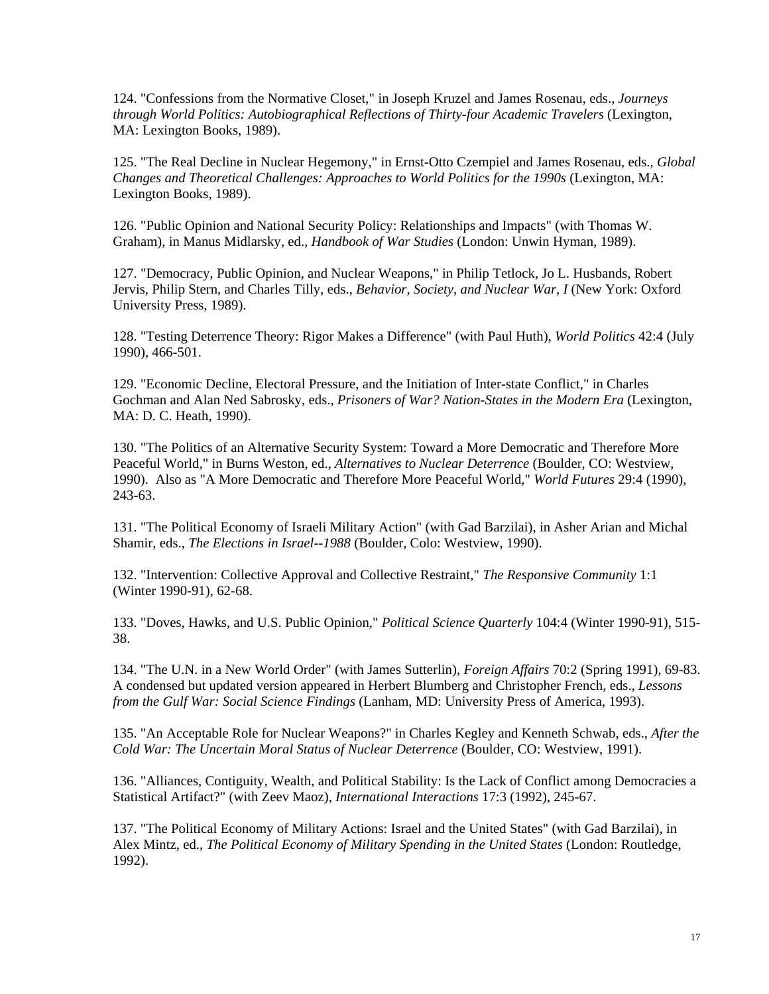124. "Confessions from the Normative Closet," in Joseph Kruzel and James Rosenau, eds., *Journeys through World Politics: Autobiographical Reflections of Thirty-four Academic Travelers* (Lexington, MA: Lexington Books, 1989).

125. "The Real Decline in Nuclear Hegemony," in Ernst-Otto Czempiel and James Rosenau, eds., *Global Changes and Theoretical Challenges: Approaches to World Politics for the 1990s* (Lexington, MA: Lexington Books, 1989).

126. "Public Opinion and National Security Policy: Relationships and Impacts" (with Thomas W. Graham), in Manus Midlarsky, ed., *Handbook of War Studies* (London: Unwin Hyman, 1989).

127. "Democracy, Public Opinion, and Nuclear Weapons," in Philip Tetlock, Jo L. Husbands, Robert Jervis, Philip Stern, and Charles Tilly, eds., *Behavior, Society, and Nuclear War, I* (New York: Oxford University Press, 1989).

128. "Testing Deterrence Theory: Rigor Makes a Difference" (with Paul Huth), *World Politics* 42:4 (July 1990), 466-501.

129. "Economic Decline, Electoral Pressure, and the Initiation of Inter-state Conflict," in Charles Gochman and Alan Ned Sabrosky, eds., *Prisoners of War? Nation-States in the Modern Era* (Lexington, MA: D. C. Heath, 1990).

130. "The Politics of an Alternative Security System: Toward a More Democratic and Therefore More Peaceful World," in Burns Weston, ed., *Alternatives to Nuclear Deterrence* (Boulder, CO: Westview, 1990). Also as "A More Democratic and Therefore More Peaceful World," *World Futures* 29:4 (1990), 243-63.

131. "The Political Economy of Israeli Military Action" (with Gad Barzilai), in Asher Arian and Michal Shamir, eds., *The Elections in Israel--1988* (Boulder, Colo: Westview, 1990).

 (Winter 1990-91), 62-68. 132. "Intervention: Collective Approval and Collective Restraint," *The Responsive Community* 1:1

133. "Doves, Hawks, and U.S. Public Opinion," *Political Science Quarterly* 104:4 (Winter 1990-91), 515- 38.

 134. "The U.N. in a New World Order" (with James Sutterlin), *Foreign Affairs* 70:2 (Spring 1991), 69-83. A condensed but updated version appeared in Herbert Blumberg and Christopher French, eds., *Lessons from the Gulf War: Social Science Findings* (Lanham, MD: University Press of America, 1993).

135. "An Acceptable Role for Nuclear Weapons?" in Charles Kegley and Kenneth Schwab, eds., *After the Cold War: The Uncertain Moral Status of Nuclear Deterrence* (Boulder, CO: Westview, 1991).

136. "Alliances, Contiguity, Wealth, and Political Stability: Is the Lack of Conflict among Democracies a Statistical Artifact?" (with Zeev Maoz), *International Interactions* 17:3 (1992), 245-67.

137. "The Political Economy of Military Actions: Israel and the United States" (with Gad Barzilai), in Alex Mintz, ed., *The Political Economy of Military Spending in the United States* (London: Routledge, 1992).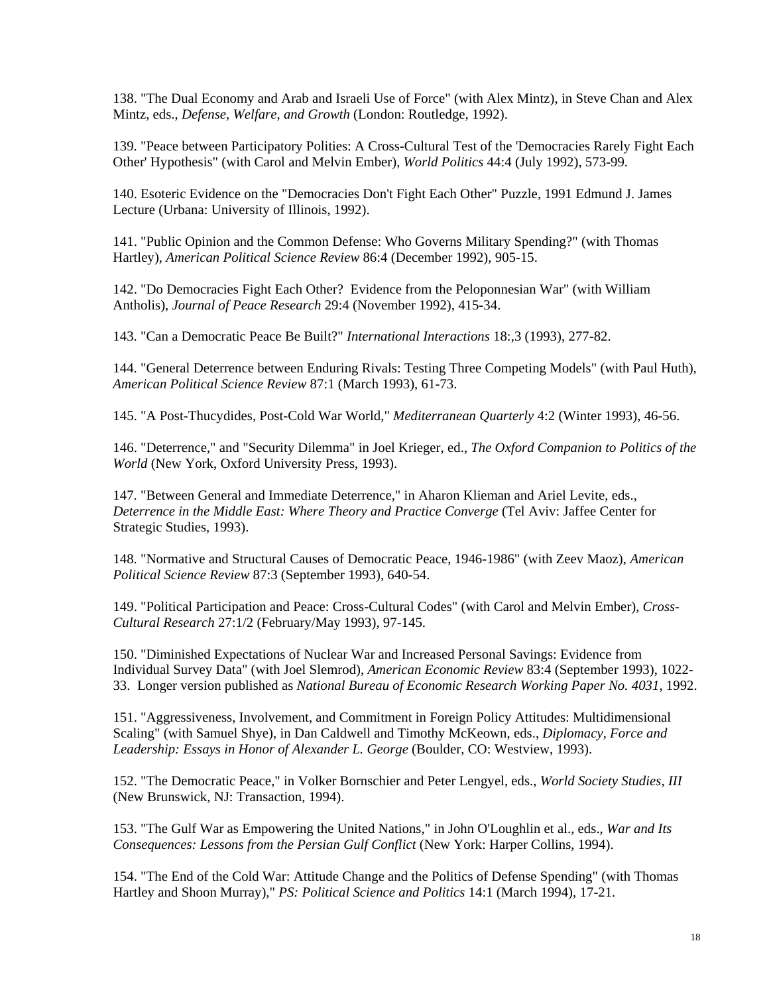138. "The Dual Economy and Arab and Israeli Use of Force" (with Alex Mintz), in Steve Chan and Alex Mintz, eds., *Defense, Welfare, and Growth* (London: Routledge, 1992).

139. "Peace between Participatory Polities: A Cross-Cultural Test of the 'Democracies Rarely Fight Each Other' Hypothesis" (with Carol and Melvin Ember), *World Politics* 44:4 (July 1992), 573-99.

140. Esoteric Evidence on the "Democracies Don't Fight Each Other" Puzzle, 1991 Edmund J. James Lecture (Urbana: University of Illinois, 1992).

141. "Public Opinion and the Common Defense: Who Governs Military Spending?" (with Thomas Hartley), *American Political Science Review* 86:4 (December 1992), 905-15.

142. "Do Democracies Fight Each Other? Evidence from the Peloponnesian War" (with William Antholis), *Journal of Peace Research* 29:4 (November 1992), 415-34.

143. "Can a Democratic Peace Be Built?" *International Interactions* 18:,3 (1993), 277-82.

144. "General Deterrence between Enduring Rivals: Testing Three Competing Models" (with Paul Huth), *American Political Science Review* 87:1 (March 1993), 61-73.

145. "A Post-Thucydides, Post-Cold War World," *Mediterranean Quarterly* 4:2 (Winter 1993), 46-56.

146. "Deterrence," and "Security Dilemma" in Joel Krieger, ed., *The Oxford Companion to Politics of the World* (New York, Oxford University Press, 1993).

147. "Between General and Immediate Deterrence," in Aharon Klieman and Ariel Levite, eds., *Deterrence in the Middle East: Where Theory and Practice Converge* (Tel Aviv: Jaffee Center for Strategic Studies, 1993).

148. "Normative and Structural Causes of Democratic Peace, 1946-1986" (with Zeev Maoz), *American Political Science Review* 87:3 (September 1993), 640-54.

149. "Political Participation and Peace: Cross-Cultural Codes" (with Carol and Melvin Ember), *Cross-Cultural Research* 27:1/2 (February/May 1993), 97-145.

150. "Diminished Expectations of Nuclear War and Increased Personal Savings: Evidence from Individual Survey Data" (with Joel Slemrod), *American Economic Review* 83:4 (September 1993), 1022- 33. Longer version published as *National Bureau of Economic Research Working Paper No. 4031*, 1992.

151. "Aggressiveness, Involvement, and Commitment in Foreign Policy Attitudes: Multidimensional Scaling" (with Samuel Shye), in Dan Caldwell and Timothy McKeown, eds., *Diplomacy, Force and Leadership: Essays in Honor of Alexander L. George* (Boulder, CO: Westview, 1993).

152. "The Democratic Peace," in Volker Bornschier and Peter Lengyel, eds., *World Society Studies, III*  (New Brunswick, NJ: Transaction, 1994).

153. "The Gulf War as Empowering the United Nations," in John O'Loughlin et al., eds., *War and Its Consequences: Lessons from the Persian Gulf Conflict* (New York: Harper Collins, 1994).

154. "The End of the Cold War: Attitude Change and the Politics of Defense Spending" (with Thomas Hartley and Shoon Murray)," *PS: Political Science and Politics* 14:1 (March 1994), 17-21.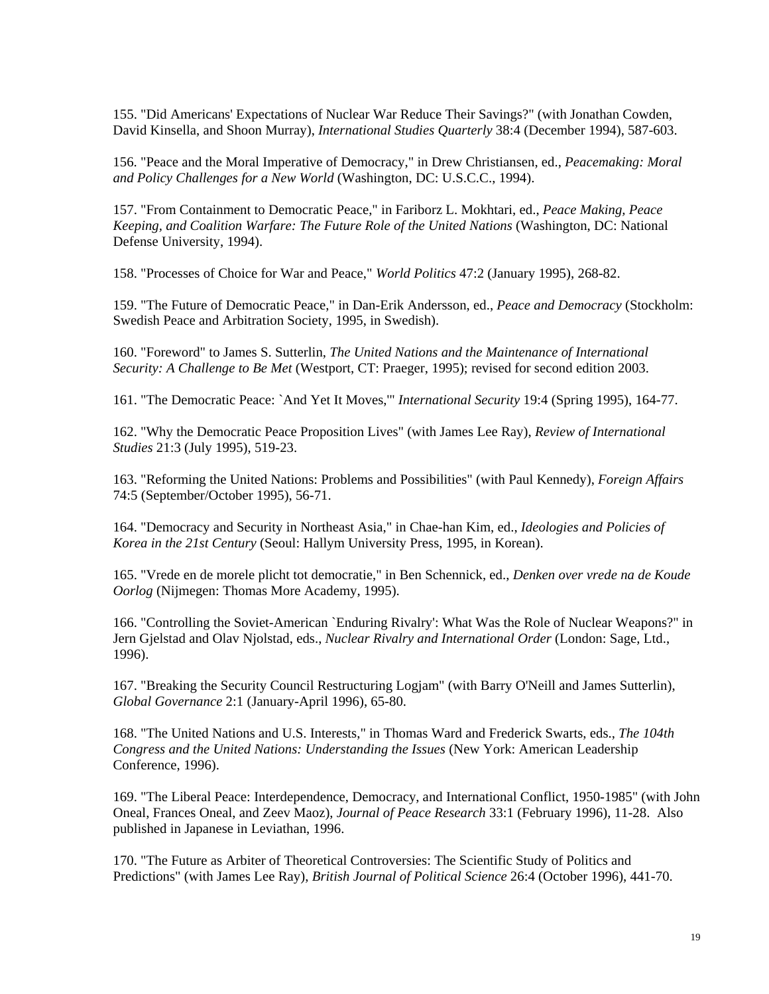155. "Did Americans' Expectations of Nuclear War Reduce Their Savings?" (with Jonathan Cowden, David Kinsella, and Shoon Murray), *International Studies Quarterly* 38:4 (December 1994), 587-603.

156. "Peace and the Moral Imperative of Democracy," in Drew Christiansen, ed., *Peacemaking: Moral and Policy Challenges for a New World* (Washington, DC: U.S.C.C., 1994).

157. "From Containment to Democratic Peace," in Fariborz L. Mokhtari, ed., *Peace Making, Peace Keeping, and Coalition Warfare: The Future Role of the United Nations* (Washington, DC: National Defense University, 1994).

158. "Processes of Choice for War and Peace," *World Politics* 47:2 (January 1995), 268-82.

159. "The Future of Democratic Peace," in Dan-Erik Andersson, ed., *Peace and Democracy* (Stockholm: Swedish Peace and Arbitration Society, 1995, in Swedish).

160. "Foreword" to James S. Sutterlin, *The United Nations and the Maintenance of International Security: A Challenge to Be Met* (Westport, CT: Praeger, 1995); revised for second edition 2003.

161. "The Democratic Peace: `And Yet It Moves,'" *International Security* 19:4 (Spring 1995), 164-77.

162. "Why the Democratic Peace Proposition Lives" (with James Lee Ray), *Review of International Studies* 21:3 (July 1995), 519-23.

163. "Reforming the United Nations: Problems and Possibilities" (with Paul Kennedy), *Foreign Affairs*  74:5 (September/October 1995), 56-71.

 *Korea in the 21st Century* (Seoul: Hallym University Press, 1995, in Korean). 164. "Democracy and Security in Northeast Asia," in Chae-han Kim, ed., *Ideologies and Policies of* 

165. "Vrede en de morele plicht tot democratie," in Ben Schennick, ed., *Denken over vrede na de Koude Oorlog* (Nijmegen: Thomas More Academy, 1995).

166. "Controlling the Soviet-American `Enduring Rivalry': What Was the Role of Nuclear Weapons?" in Jern Gjelstad and Olav Njolstad, eds., *Nuclear Rivalry and International Order* (London: Sage, Ltd., 1996).

167. "Breaking the Security Council Restructuring Logjam" (with Barry O'Neill and James Sutterlin), *Global Governance* 2:1 (January-April 1996), 65-80.

168. "The United Nations and U.S. Interests," in Thomas Ward and Frederick Swarts, eds., *The 104th Congress and the United Nations: Understanding the Issues* (New York: American Leadership Conference, 1996).

169. "The Liberal Peace: Interdependence, Democracy, and International Conflict, 1950-1985" (with John Oneal, Frances Oneal, and Zeev Maoz), *Journal of Peace Research* 33:1 (February 1996), 11-28. Also published in Japanese in Leviathan, 1996.

170. "The Future as Arbiter of Theoretical Controversies: The Scientific Study of Politics and Predictions" (with James Lee Ray), *British Journal of Political Science* 26:4 (October 1996), 441-70.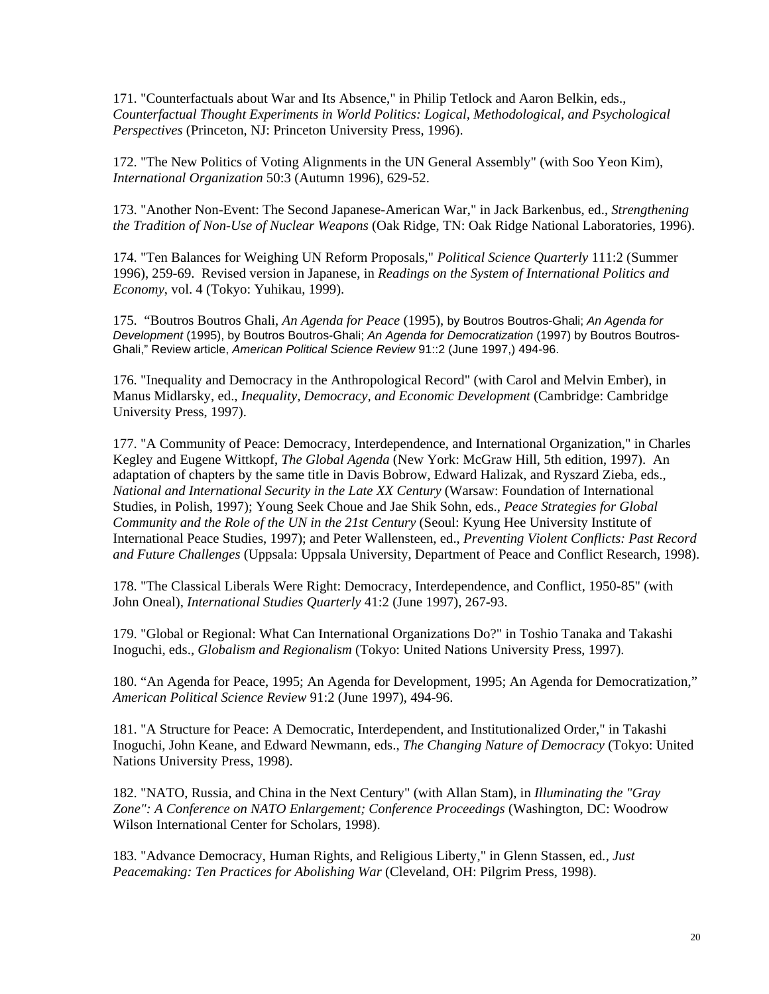171. "Counterfactuals about War and Its Absence," in Philip Tetlock and Aaron Belkin, eds., *Counterfactual Thought Experiments in World Politics: Logical, Methodological, and Psychological Perspectives* (Princeton, NJ: Princeton University Press, 1996).

172. "The New Politics of Voting Alignments in the UN General Assembly" (with Soo Yeon Kim), *International Organization* 50:3 (Autumn 1996), 629-52.

173. "Another Non-Event: The Second Japanese-American War," in Jack Barkenbus, ed., *Strengthening the Tradition of Non-Use of Nuclear Weapons* (Oak Ridge, TN: Oak Ridge National Laboratories, 1996).

174. "Ten Balances for Weighing UN Reform Proposals," *Political Science Quarterly* 111:2 (Summer 1996), 259-69. Revised version in Japanese, in *Readings on the System of International Politics and Economy*, vol. 4 (Tokyo: Yuhikau, 1999).

175. "Boutros Boutros Ghali, *An Agenda for Peace* (1995), by Boutros Boutros-Ghali; *An Agenda for Development* (1995), by Boutros Boutros-Ghali; *An Agenda for Democratization* (1997) by Boutros Boutros-Ghali," Review article, *American Political Science Review* 91::2 (June 1997,) 494-96.

176. "Inequality and Democracy in the Anthropological Record" (with Carol and Melvin Ember), in Manus Midlarsky, ed., *Inequality, Democracy, and Economic Development* (Cambridge: Cambridge University Press, 1997).

177. "A Community of Peace: Democracy, Interdependence, and International Organization," in Charles Kegley and Eugene Wittkopf, *The Global Agenda* (New York: McGraw Hill, 5th edition, 1997). An adaptation of chapters by the same title in Davis Bobrow, Edward Halizak, and Ryszard Zieba, eds., *National and International Security in the Late XX Century* (Warsaw: Foundation of International Studies, in Polish, 1997); Young Seek Choue and Jae Shik Sohn, eds., *Peace Strategies for Global Community and the Role of the UN in the 21st Century* (Seoul: Kyung Hee University Institute of International Peace Studies, 1997); and Peter Wallensteen, ed., *Preventing Violent Conflicts: Past Record and Future Challenges* (Uppsala: Uppsala University, Department of Peace and Conflict Research, 1998).

178. "The Classical Liberals Were Right: Democracy, Interdependence, and Conflict, 1950-85" (with John Oneal), *International Studies Quarterly* 41:2 (June 1997), 267-93.

179. "Global or Regional: What Can International Organizations Do?" in Toshio Tanaka and Takashi Inoguchi, eds., *Globalism and Regionalism* (Tokyo: United Nations University Press, 1997).

180. "An Agenda for Peace, 1995; An Agenda for Development, 1995; An Agenda for Democratization," *American Political Science Review* 91:2 (June 1997), 494-96.

181. "A Structure for Peace: A Democratic, Interdependent, and Institutionalized Order," in Takashi Inoguchi, John Keane, and Edward Newmann, eds., *The Changing Nature of Democracy* (Tokyo: United Nations University Press, 1998).

182. "NATO, Russia, and China in the Next Century" (with Allan Stam), in *Illuminating the "Gray Zone": A Conference on NATO Enlargement; Conference Proceedings* (Washington, DC: Woodrow Wilson International Center for Scholars, 1998).

183. "Advance Democracy, Human Rights, and Religious Liberty," in Glenn Stassen, ed*., Just Peacemaking: Ten Practices for Abolishing War* (Cleveland, OH: Pilgrim Press, 1998).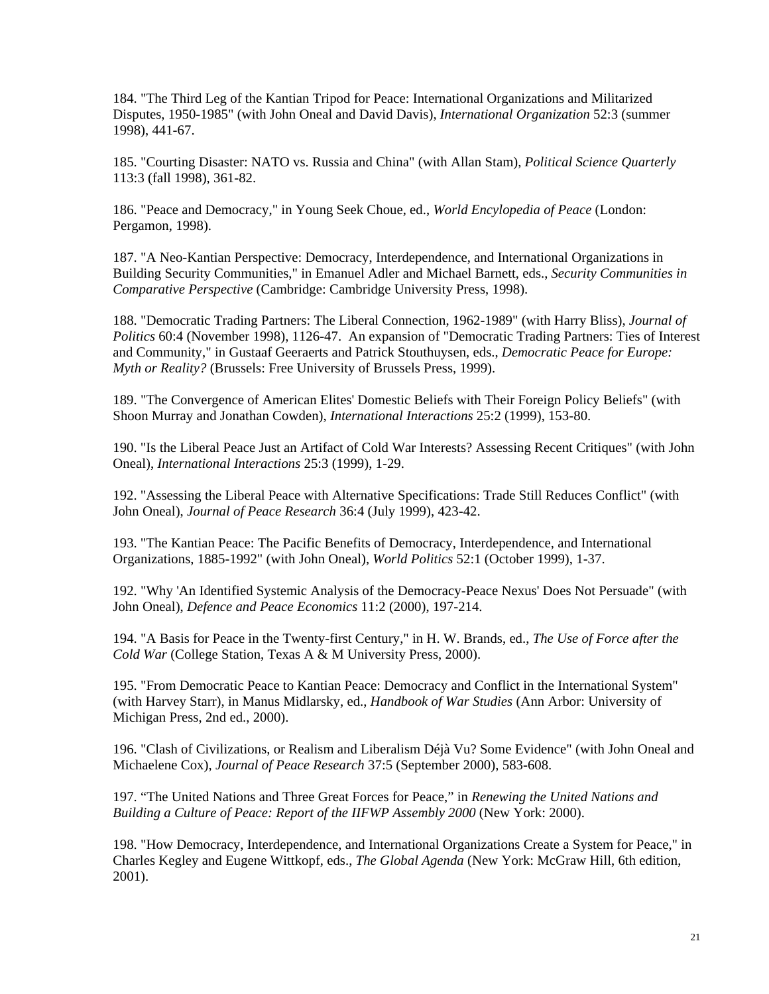184. "The Third Leg of the Kantian Tripod for Peace: International Organizations and Militarized Disputes, 1950-1985" (with John Oneal and David Davis), *International Organization* 52:3 (summer 1998), 441-67.

185. "Courting Disaster: NATO vs. Russia and China" (with Allan Stam), *Political Science Quarterly*  113:3 (fall 1998), 361-82.

186. "Peace and Democracy," in Young Seek Choue, ed., *World Encylopedia of Peace* (London: Pergamon, 1998).

187. "A Neo-Kantian Perspective: Democracy, Interdependence, and International Organizations in Building Security Communities," in Emanuel Adler and Michael Barnett, eds., *Security Communities in Comparative Perspective* (Cambridge: Cambridge University Press, 1998).

188. "Democratic Trading Partners: The Liberal Connection, 1962-1989" (with Harry Bliss), *Journal of Politics* 60:4 (November 1998), 1126-47. An expansion of "Democratic Trading Partners: Ties of Interest and Community," in Gustaaf Geeraerts and Patrick Stouthuysen, eds., *Democratic Peace for Europe: Myth or Reality?* (Brussels: Free University of Brussels Press, 1999).

189. "The Convergence of American Elites' Domestic Beliefs with Their Foreign Policy Beliefs" (with Shoon Murray and Jonathan Cowden), *International Interactions* 25:2 (1999), 153-80.

190. "Is the Liberal Peace Just an Artifact of Cold War Interests? Assessing Recent Critiques" (with John Oneal), *International Interactions* 25:3 (1999), 1-29.

192. "Assessing the Liberal Peace with Alternative Specifications: Trade Still Reduces Conflict" (with John Oneal), *Journal of Peace Research* 36:4 (July 1999), 423-42.

193. "The Kantian Peace: The Pacific Benefits of Democracy, Interdependence, and International Organizations, 1885-1992" (with John Oneal), *World Politics* 52:1 (October 1999), 1-37.

192. "Why 'An Identified Systemic Analysis of the Democracy-Peace Nexus' Does Not Persuade" (with John Oneal), *Defence and Peace Economics* 11:2 (2000), 197-214.

194. "A Basis for Peace in the Twenty-first Century," in H. W. Brands, ed., *The Use of Force after the Cold War* (College Station, Texas A & M University Press, 2000).

195. "From Democratic Peace to Kantian Peace: Democracy and Conflict in the International System" (with Harvey Starr), in Manus Midlarsky, ed., *Handbook of War Studies* (Ann Arbor: University of Michigan Press, 2nd ed., 2000).

196. "Clash of Civilizations, or Realism and Liberalism Déjà Vu? Some Evidence" (with John Oneal and Michaelene Cox), *Journal of Peace Research* 37:5 (September 2000), 583-608.

197. "The United Nations and Three Great Forces for Peace," in *Renewing the United Nations and Building a Culture of Peace: Report of the IIFWP Assembly 2000* (New York: 2000).

198. "How Democracy, Interdependence, and International Organizations Create a System for Peace," in Charles Kegley and Eugene Wittkopf, eds., *The Global Agenda* (New York: McGraw Hill, 6th edition, 2001).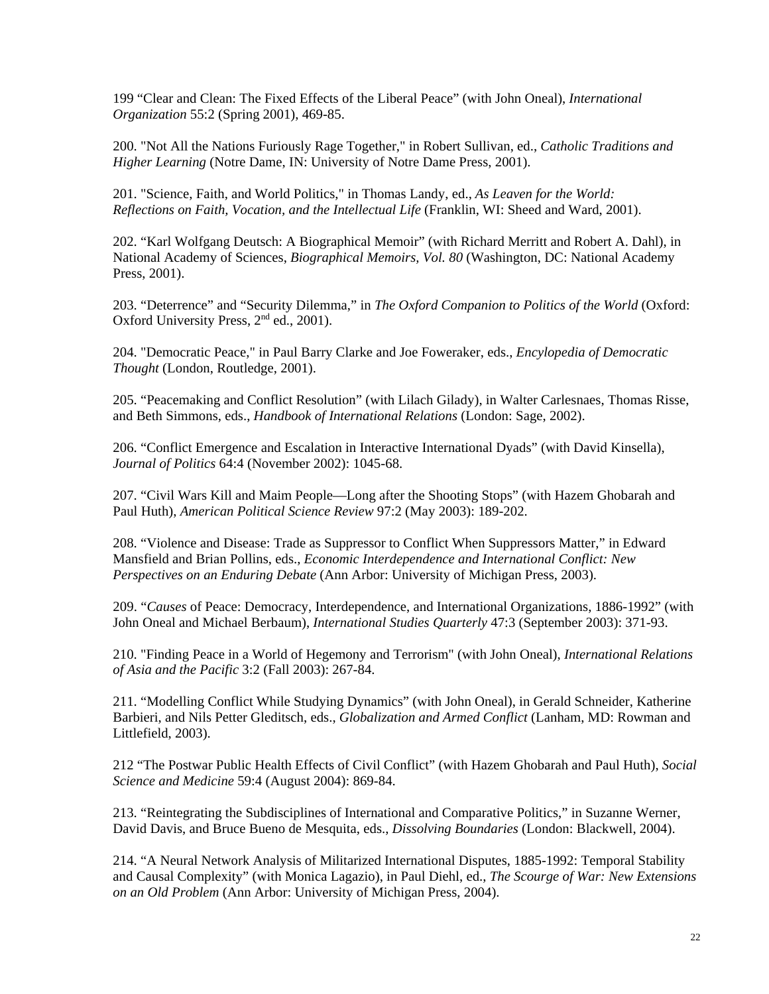199 "Clear and Clean: The Fixed Effects of the Liberal Peace" (with John Oneal), *International Organization* 55:2 (Spring 2001), 469-85.

200. "Not All the Nations Furiously Rage Together," in Robert Sullivan, ed., *Catholic Traditions and Higher Learning* (Notre Dame, IN: University of Notre Dame Press, 2001).

201. "Science, Faith, and World Politics," in Thomas Landy, ed., *As Leaven for the World: Reflections on Faith, Vocation, and the Intellectual Life* (Franklin, WI: Sheed and Ward, 2001).

202. "Karl Wolfgang Deutsch: A Biographical Memoir" (with Richard Merritt and Robert A. Dahl), in National Academy of Sciences, *Biographical Memoirs, Vol. 80* (Washington, DC: National Academy Press, 2001).

203. "Deterrence" and "Security Dilemma," in *The Oxford Companion to Politics of the World* (Oxford: Oxford University Press, 2<sup>nd</sup> ed., 2001).

204. "Democratic Peace," in Paul Barry Clarke and Joe Foweraker, eds., *Encylopedia of Democratic Thought* (London, Routledge, 2001).

205. "Peacemaking and Conflict Resolution" (with Lilach Gilady), in Walter Carlesnaes, Thomas Risse, and Beth Simmons, eds., *Handbook of International Relations* (London: Sage, 2002).

206. "Conflict Emergence and Escalation in Interactive International Dyads" (with David Kinsella), *Journal of Politics* 64:4 (November 2002): 1045-68.

207. "Civil Wars Kill and Maim People—Long after the Shooting Stops" (with Hazem Ghobarah and Paul Huth), *American Political Science Review* 97:2 (May 2003): 189-202.

208. "Violence and Disease: Trade as Suppressor to Conflict When Suppressors Matter," in Edward Mansfield and Brian Pollins, eds., *Economic Interdependence and International Conflict: New Perspectives on an Enduring Debate* (Ann Arbor: University of Michigan Press, 2003).

209. "*Causes* of Peace: Democracy, Interdependence, and International Organizations, 1886-1992" (with John Oneal and Michael Berbaum), *International Studies Quarterly* 47:3 (September 2003): 371-93.

 *of Asia and the Pacific* 3:2 (Fall 2003): 267-84. 210. "Finding Peace in a World of Hegemony and Terrorism" (with John Oneal), *International Relations* 

211. "Modelling Conflict While Studying Dynamics" (with John Oneal), in Gerald Schneider, Katherine Barbieri, and Nils Petter Gleditsch, eds., *Globalization and Armed Conflict* (Lanham, MD: Rowman and Littlefield, 2003).

212 "The Postwar Public Health Effects of Civil Conflict" (with Hazem Ghobarah and Paul Huth), *Social Science and Medicine* 59:4 (August 2004): 869-84.

213. "Reintegrating the Subdisciplines of International and Comparative Politics," in Suzanne Werner, David Davis, and Bruce Bueno de Mesquita, eds., *Dissolving Boundaries* (London: Blackwell, 2004).

214. "A Neural Network Analysis of Militarized International Disputes, 1885-1992: Temporal Stability and Causal Complexity" (with Monica Lagazio), in Paul Diehl, ed., *The Scourge of War: New Extensions on an Old Problem* (Ann Arbor: University of Michigan Press, 2004).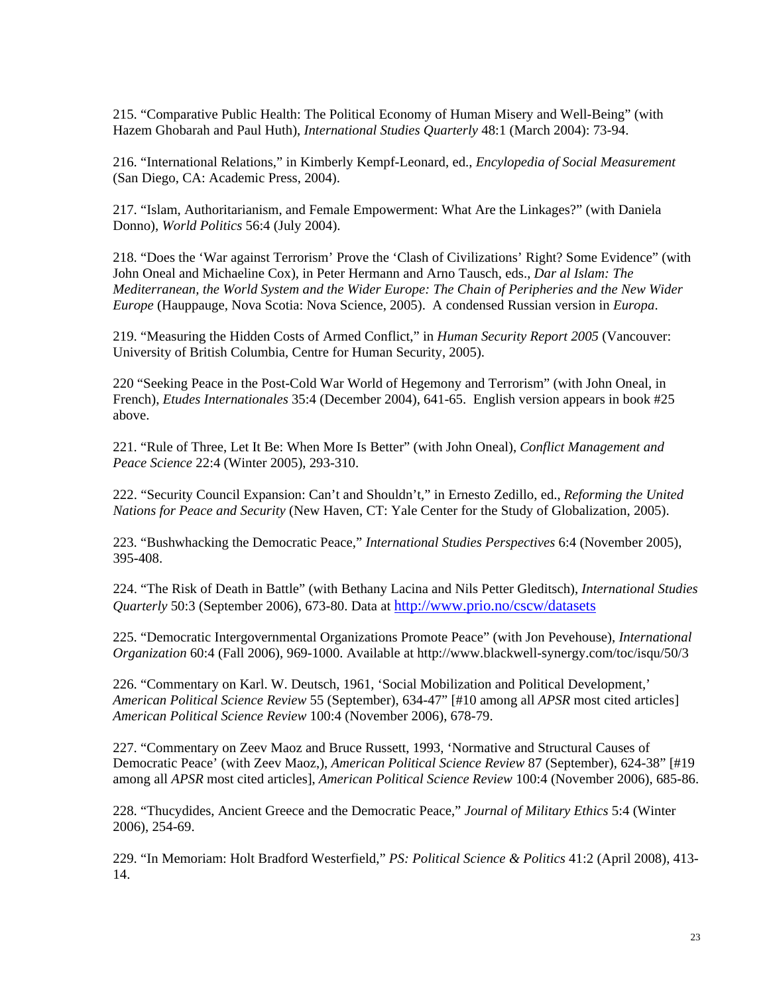215. "Comparative Public Health: The Political Economy of Human Misery and Well-Being" (with Hazem Ghobarah and Paul Huth), *International Studies Quarterly* 48:1 (March 2004): 73-94.

216. "International Relations," in Kimberly Kempf-Leonard, ed., *Encylopedia of Social Measurement*  (San Diego, CA: Academic Press, 2004).

217. "Islam, Authoritarianism, and Female Empowerment: What Are the Linkages?" (with Daniela Donno), *World Politics* 56:4 (July 2004).

218. "Does the 'War against Terrorism' Prove the 'Clash of Civilizations' Right? Some Evidence" (with John Oneal and Michaeline Cox), in Peter Hermann and Arno Tausch, eds., *Dar al Islam: The Mediterranean, the World System and the Wider Europe: The Chain of Peripheries and the New Wider Europe* (Hauppauge, Nova Scotia: Nova Science, 2005). A condensed Russian version in *Europa*.

219. "Measuring the Hidden Costs of Armed Conflict," in *Human Security Report 2005* (Vancouver: University of British Columbia, Centre for Human Security, 2005).

220 "Seeking Peace in the Post-Cold War World of Hegemony and Terrorism" (with John Oneal, in French), *Etudes Internationales* 35:4 (December 2004), 641-65. English version appears in book #25 above.

221. "Rule of Three, Let It Be: When More Is Better" (with John Oneal), *Conflict Management and Peace Science* 22:4 (Winter 2005), 293-310.

222. "Security Council Expansion: Can't and Shouldn't," in Ernesto Zedillo, ed., *Reforming the United Nations for Peace and Security* (New Haven, CT: Yale Center for the Study of Globalization, 2005).

223. "Bushwhacking the Democratic Peace," *International Studies Perspectives* 6:4 (November 2005), 395-408.

224. "The Risk of Death in Battle" (with Bethany Lacina and Nils Petter Gleditsch), *International Studies Quarterly* 50:3 (September 2006), 673-80. Data at http://www.prio.no/cscw/datasets

225. "Democratic Intergovernmental Organizations Promote Peace" (with Jon Pevehouse), *International Organization* 60:4 (Fall 2006), 969-1000. Available at http://www.blackwell-synergy.com/toc/isqu/50/3

226. "Commentary on Karl. W. Deutsch, 1961, 'Social Mobilization and Political Development,' *American Political Science Review* 55 (September), 634-47" [#10 among all *APSR* most cited articles] *American Political Science Review* 100:4 (November 2006), 678-79.

227. "Commentary on Zeev Maoz and Bruce Russett, 1993, 'Normative and Structural Causes of Democratic Peace' (with Zeev Maoz,), *American Political Science Review* 87 (September), 624-38" [#19 among all *APSR* most cited articles], *American Political Science Review* 100:4 (November 2006), 685-86.

228. "Thucydides, Ancient Greece and the Democratic Peace," *Journal of Military Ethics* 5:4 (Winter 2006), 254-69.

229. "In Memoriam: Holt Bradford Westerfield," *PS: Political Science & Politics* 41:2 (April 2008), 413- 14.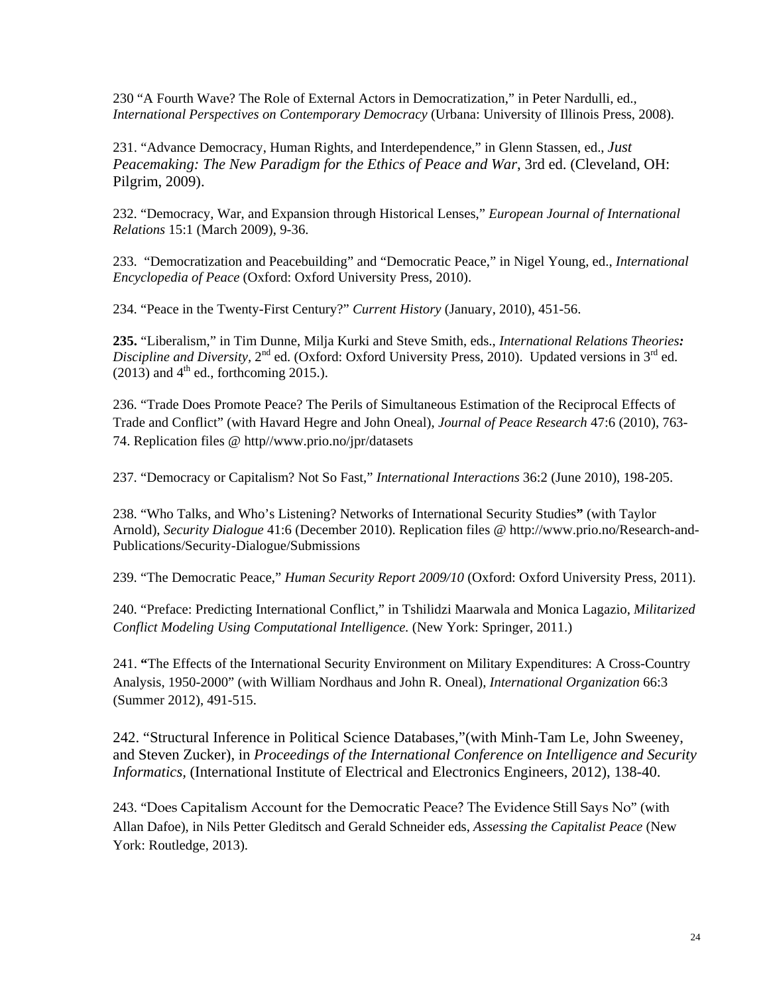230 "A Fourth Wave? The Role of External Actors in Democratization," in Peter Nardulli, ed., *International Perspectives on Contemporary Democracy* (Urbana: University of Illinois Press, 2008).

231. "Advance Democracy, Human Rights, and Interdependence," in Glenn Stassen, ed., *Just Peacemaking: The New Paradigm for the Ethics of Peace and War*, 3rd ed. (Cleveland, OH: Pilgrim, 2009).

232. "Democracy, War, and Expansion through Historical Lenses," *European Journal of International Relations* 15:1 (March 2009), 9-36.

233. "Democratization and Peacebuilding" and "Democratic Peace," in Nigel Young, ed., *International Encyclopedia of Peace* (Oxford: Oxford University Press, 2010).

234. "Peace in the Twenty-First Century?" *Current History* (January, 2010), 451-56.

**235.** "Liberalism," in Tim Dunne, Milja Kurki and Steve Smith, eds., *International Relations Theories: Discipline and Diversity,* 2<sup>nd</sup> ed. (Oxford: Oxford University Press, 2010). Updated versions in 3<sup>rd</sup> ed.  $(2013)$  and  $4<sup>th</sup>$  ed., forthcoming 2015.).

236. "Trade Does Promote Peace? The Perils of Simultaneous Estimation of the Reciprocal Effects of Trade and Conflict" (with Havard Hegre and John Oneal), *Journal of Peace Research* 47:6 (2010), 763- 74. Replication files @ http//www.prio.no/jpr/datasets

237. "Democracy or Capitalism? Not So Fast," *International Interactions* 36:2 (June 2010), 198-205.

238. "Who Talks, and Who's Listening? Networks of International Security Studies**"** (with Taylor Arnold), *Security Dialogue* 41:6 (December 2010). Replication files @ http://www.prio.no/Research-and-Publications/Security-Dialogue/Submissions

239. "The Democratic Peace," *Human Security Report 2009/10* (Oxford: Oxford University Press, 2011).

240. "Preface: Predicting International Conflict," in Tshilidzi Maarwala and Monica Lagazio, *Militarized Conflict Modeling Using Computational Intelligence.* (New York: Springer, 2011.)

241. **"**The Effects of the International Security Environment on Military Expenditures: A Cross-Country Analysis, 1950-2000" (with William Nordhaus and John R. Oneal), *International Organization* 66:3 (Summer 2012), 491-515.

242. "Structural Inference in Political Science Databases,"(with Minh-Tam Le, John Sweeney, and Steven Zucker), in *Proceedings of the International Conference on Intelligence and Security Informatics,* (International Institute of Electrical and Electronics Engineers, 2012), 138-40.

243. "Does Capitalism Account for the Democratic Peace? The Evidence Still Says No" (with Allan Dafoe), in Nils Petter Gleditsch and Gerald Schneider eds, *Assessing the Capitalist Peace* (New York: Routledge, 2013).